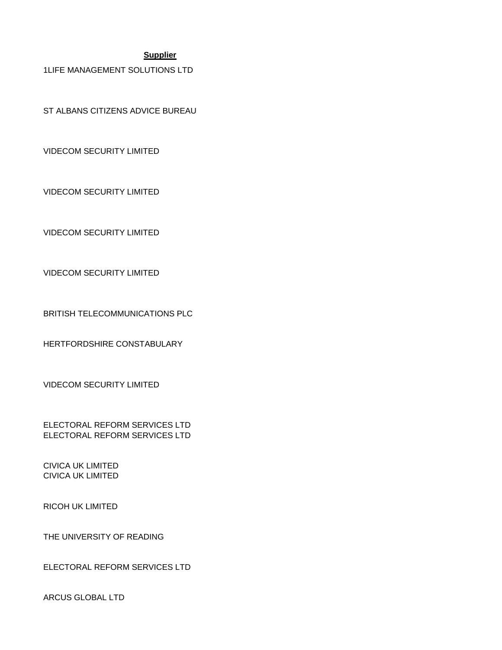#### **Supplier**

1LIFE MANAGEMENT SOLUTIONS LTD

ST ALBANS CITIZENS ADVICE BUREAU

VIDECOM SECURITY LIMITED

VIDECOM SECURITY LIMITED

VIDECOM SECURITY LIMITED

VIDECOM SECURITY LIMITED

BRITISH TELECOMMUNICATIONS PLC

HERTFORDSHIRE CONSTABULARY

VIDECOM SECURITY LIMITED

ELECTORAL REFORM SERVICES LTD ELECTORAL REFORM SERVICES LTD

CIVICA UK LIMITED CIVICA UK LIMITED

RICOH UK LIMITED

THE UNIVERSITY OF READING

ELECTORAL REFORM SERVICES LTD

ARCUS GLOBAL LTD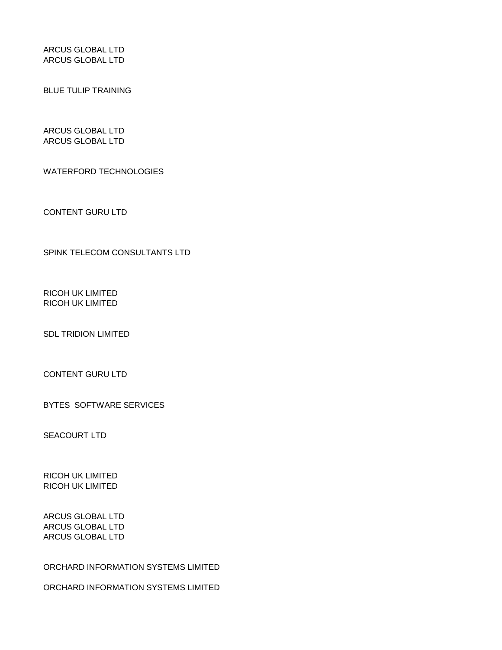ARCUS GLOBAL LTD ARCUS GLOBAL LTD

BLUE TULIP TRAINING

ARCUS GLOBAL LTD ARCUS GLOBAL LTD

WATERFORD TECHNOLOGIES

CONTENT GURU LTD

SPINK TELECOM CONSULTANTS LTD

RICOH UK LIMITED RICOH UK LIMITED

SDL TRIDION LIMITED

CONTENT GURU LTD

BYTES SOFTWARE SERVICES

SEACOURT LTD

RICOH UK LIMITED RICOH UK LIMITED

ARCUS GLOBAL LTD ARCUS GLOBAL LTD ARCUS GLOBAL LTD

ORCHARD INFORMATION SYSTEMS LIMITED

ORCHARD INFORMATION SYSTEMS LIMITED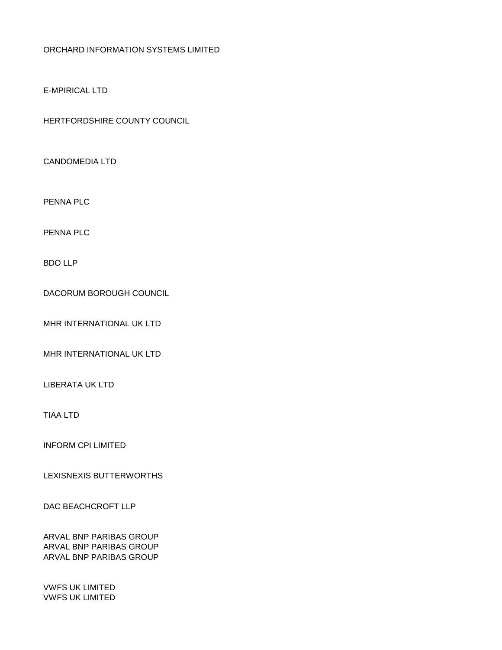#### ORCHARD INFORMATION SYSTEMS LIMITED

#### E-MPIRICAL LTD

HERTFORDSHIRE COUNTY COUNCIL

CANDOMEDIA LTD

PENNA PLC

PENNA PLC

BDO LLP

DACORUM BOROUGH COUNCIL

MHR INTERNATIONAL UK LTD

MHR INTERNATIONAL UK LTD

LIBERATA UK LTD

TIAA LTD

INFORM CPI LIMITED

LEXISNEXIS BUTTERWORTHS

DAC BEACHCROFT LLP

ARVAL BNP PARIBAS GROUP ARVAL BNP PARIBAS GROUP ARVAL BNP PARIBAS GROUP

VWFS UK LIMITED VWFS UK LIMITED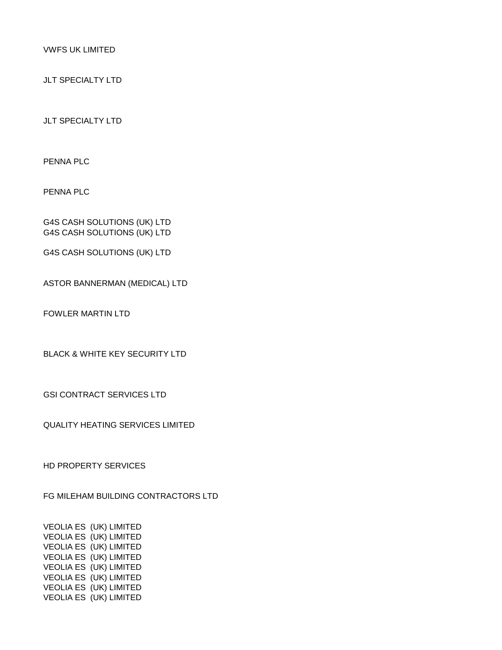VWFS UK LIMITED

JLT SPECIALTY LTD

JLT SPECIALTY LTD

PENNA PLC

PENNA PLC

G4S CASH SOLUTIONS (UK) LTD G4S CASH SOLUTIONS (UK) LTD

G4S CASH SOLUTIONS (UK) LTD

ASTOR BANNERMAN (MEDICAL) LTD

FOWLER MARTIN LTD

BLACK & WHITE KEY SECURITY LTD

GSI CONTRACT SERVICES LTD

QUALITY HEATING SERVICES LIMITED

HD PROPERTY SERVICES

FG MILEHAM BUILDING CONTRACTORS LTD

VEOLIA ES (UK) LIMITED VEOLIA ES (UK) LIMITED VEOLIA ES (UK) LIMITED VEOLIA ES (UK) LIMITED VEOLIA ES (UK) LIMITED VEOLIA ES (UK) LIMITED VEOLIA ES (UK) LIMITED VEOLIA ES (UK) LIMITED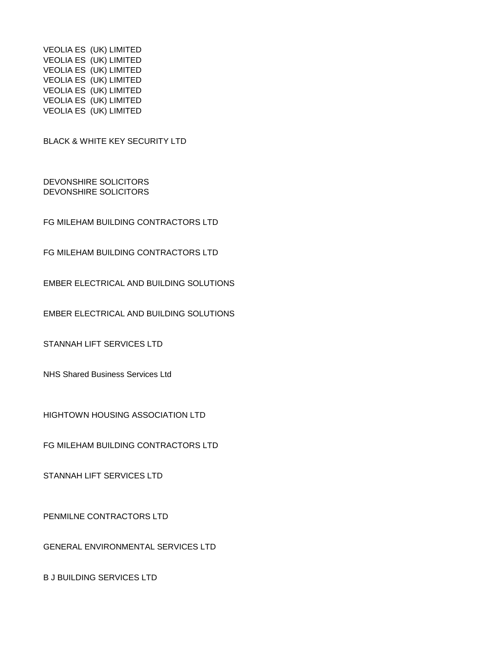VEOLIA ES (UK) LIMITED VEOLIA ES (UK) LIMITED VEOLIA ES (UK) LIMITED VEOLIA ES (UK) LIMITED VEOLIA ES (UK) LIMITED VEOLIA ES (UK) LIMITED VEOLIA ES (UK) LIMITED

BLACK & WHITE KEY SECURITY LTD

DEVONSHIRE SOLICITORS DEVONSHIRE SOLICITORS

FG MILEHAM BUILDING CONTRACTORS LTD

FG MILEHAM BUILDING CONTRACTORS LTD

EMBER ELECTRICAL AND BUILDING SOLUTIONS

EMBER ELECTRICAL AND BUILDING SOLUTIONS

STANNAH LIFT SERVICES LTD

NHS Shared Business Services Ltd

HIGHTOWN HOUSING ASSOCIATION LTD

FG MILEHAM BUILDING CONTRACTORS LTD

STANNAH LIFT SERVICES LTD

PENMILNE CONTRACTORS LTD

GENERAL ENVIRONMENTAL SERVICES LTD

B J BUILDING SERVICES LTD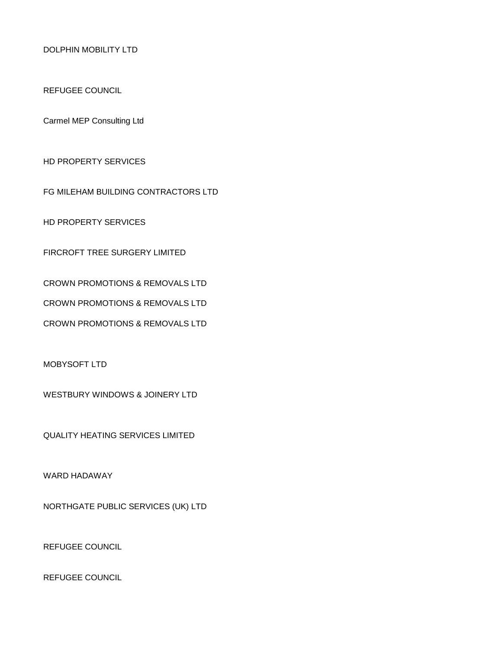DOLPHIN MOBILITY LTD

REFUGEE COUNCIL

Carmel MEP Consulting Ltd

HD PROPERTY SERVICES

FG MILEHAM BUILDING CONTRACTORS LTD

HD PROPERTY SERVICES

FIRCROFT TREE SURGERY LIMITED

CROWN PROMOTIONS & REMOVALS LTD

CROWN PROMOTIONS & REMOVALS LTD

CROWN PROMOTIONS & REMOVALS LTD

MOBYSOFT LTD

WESTBURY WINDOWS & JOINERY LTD

QUALITY HEATING SERVICES LIMITED

WARD HADAWAY

NORTHGATE PUBLIC SERVICES (UK) LTD

REFUGEE COUNCIL

REFUGEE COUNCIL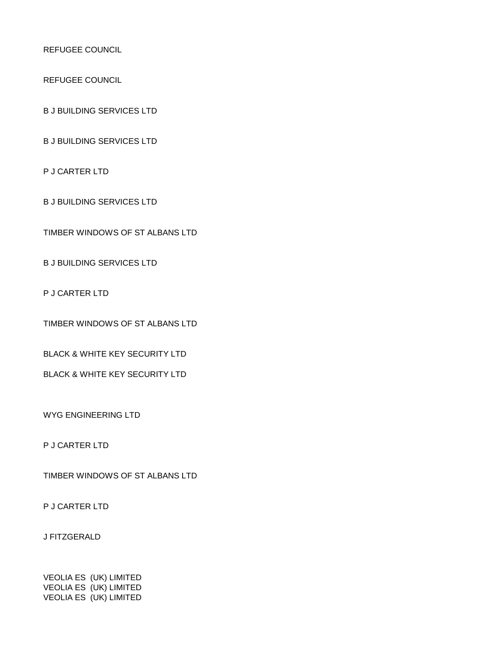REFUGEE COUNCIL

REFUGEE COUNCIL

B J BUILDING SERVICES LTD

B J BUILDING SERVICES LTD

P J CARTER LTD

B J BUILDING SERVICES LTD

TIMBER WINDOWS OF ST ALBANS LTD

B J BUILDING SERVICES LTD

P J CARTER LTD

TIMBER WINDOWS OF ST ALBANS LTD

BLACK & WHITE KEY SECURITY LTD

BLACK & WHITE KEY SECURITY LTD

WYG ENGINEERING LTD

P J CARTER LTD

TIMBER WINDOWS OF ST ALBANS LTD

P J CARTER LTD

J FITZGERALD

VEOLIA ES (UK) LIMITED VEOLIA ES (UK) LIMITED VEOLIA ES (UK) LIMITED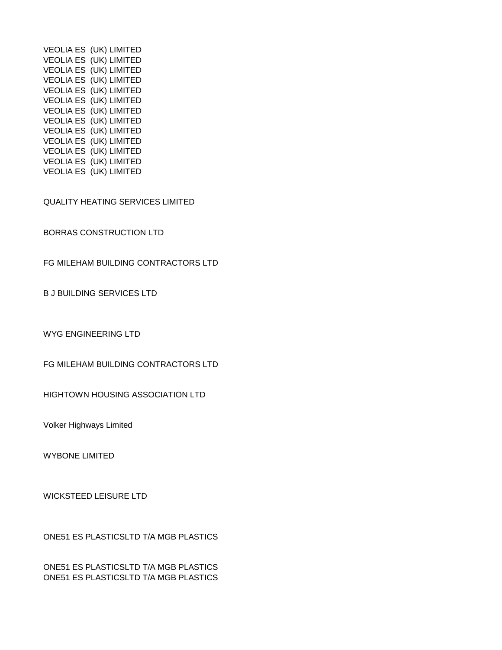VEOLIA ES (UK) LIMITED VEOLIA ES (UK) LIMITED VEOLIA ES (UK) LIMITED VEOLIA ES (UK) LIMITED VEOLIA ES (UK) LIMITED VEOLIA ES (UK) LIMITED VEOLIA ES (UK) LIMITED VEOLIA ES (UK) LIMITED VEOLIA ES (UK) LIMITED VEOLIA ES (UK) LIMITED VEOLIA ES (UK) LIMITED VEOLIA ES (UK) LIMITED VEOLIA ES (UK) LIMITED

QUALITY HEATING SERVICES LIMITED

BORRAS CONSTRUCTION LTD

FG MILEHAM BUILDING CONTRACTORS LTD

B J BUILDING SERVICES LTD

WYG ENGINEERING LTD

FG MILEHAM BUILDING CONTRACTORS LTD

HIGHTOWN HOUSING ASSOCIATION LTD

Volker Highways Limited

WYBONE LIMITED

WICKSTEED LEISURE LTD

ONE51 ES PLASTICSLTD T/A MGB PLASTICS

ONE51 ES PLASTICSLTD T/A MGB PLASTICS ONE51 ES PLASTICSLTD T/A MGB PLASTICS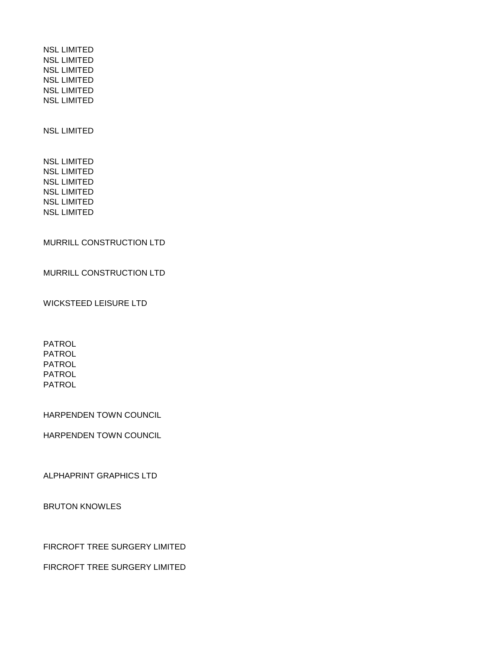NSL LIMITED NSL LIMITED NSL LIMITED NSL LIMITED NSL LIMITED NSL LIMITED

NSL LIMITED

NSL LIMITED NSL LIMITED NSL LIMITED NSL LIMITED NSL LIMITED NSL LIMITED

MURRILL CONSTRUCTION LTD

MURRILL CONSTRUCTION LTD

WICKSTEED LEISURE LTD

PATROL PATROL PATROL PATROL PATROL

HARPENDEN TOWN COUNCIL

HARPENDEN TOWN COUNCIL

ALPHAPRINT GRAPHICS LTD

BRUTON KNOWLES

FIRCROFT TREE SURGERY LIMITED

FIRCROFT TREE SURGERY LIMITED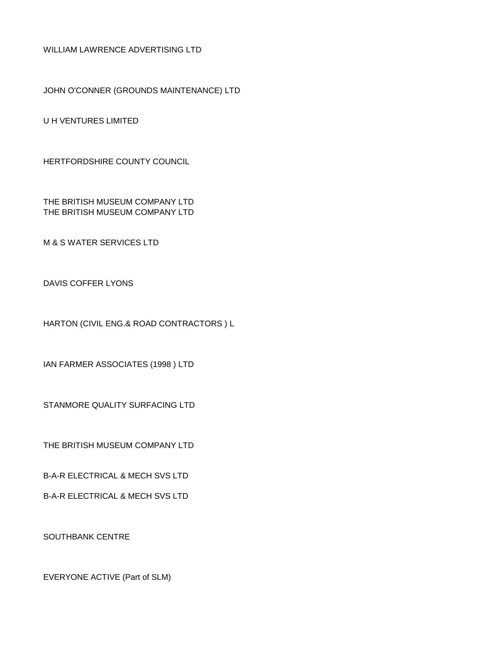WILLIAM LAWRENCE ADVERTISING LTD

JOHN O'CONNER (GROUNDS MAINTENANCE) LTD

U H VENTURES LIMITED

HERTFORDSHIRE COUNTY COUNCIL

THE BRITISH MUSEUM COMPANY LTD THE BRITISH MUSEUM COMPANY LTD

M & S WATER SERVICES LTD

DAVIS COFFER LYONS

HARTON (CIVIL ENG.& ROAD CONTRACTORS ) L

IAN FARMER ASSOCIATES (1998 ) LTD

STANMORE QUALITY SURFACING LTD

THE BRITISH MUSEUM COMPANY LTD

B-A-R ELECTRICAL & MECH SVS LTD

B-A-R ELECTRICAL & MECH SVS LTD

SOUTHBANK CENTRE

EVERYONE ACTIVE (Part of SLM)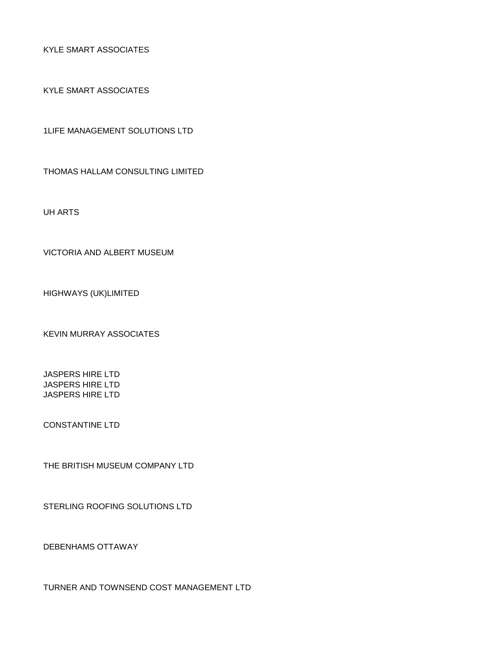KYLE SMART ASSOCIATES

KYLE SMART ASSOCIATES

1LIFE MANAGEMENT SOLUTIONS LTD

THOMAS HALLAM CONSULTING LIMITED

UH ARTS

VICTORIA AND ALBERT MUSEUM

HIGHWAYS (UK)LIMITED

KEVIN MURRAY ASSOCIATES

JASPERS HIRE LTD JASPERS HIRE LTD JASPERS HIRE LTD

CONSTANTINE LTD

THE BRITISH MUSEUM COMPANY LTD

STERLING ROOFING SOLUTIONS LTD

DEBENHAMS OTTAWAY

TURNER AND TOWNSEND COST MANAGEMENT LTD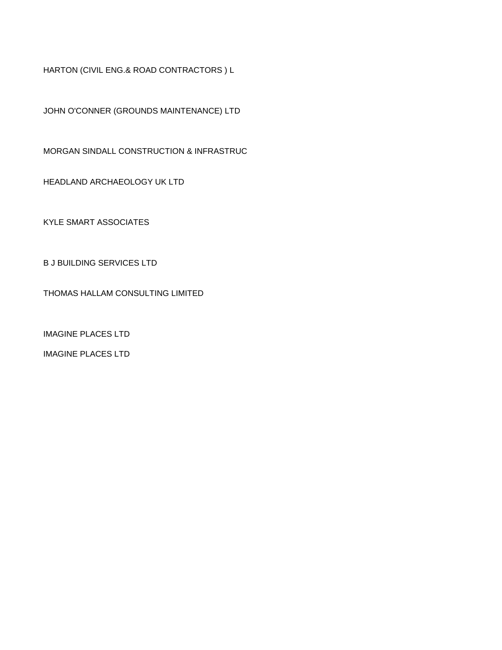HARTON (CIVIL ENG.& ROAD CONTRACTORS ) L

JOHN O'CONNER (GROUNDS MAINTENANCE) LTD

MORGAN SINDALL CONSTRUCTION & INFRASTRUC

HEADLAND ARCHAEOLOGY UK LTD

KYLE SMART ASSOCIATES

B J BUILDING SERVICES LTD

THOMAS HALLAM CONSULTING LIMITED

IMAGINE PLACES LTD

IMAGINE PLACES LTD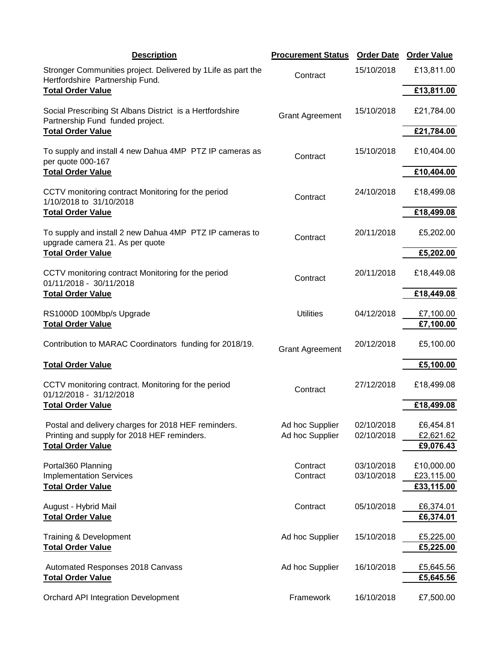| <b>Description</b>                                                                                                     | <b>Procurement Status Order Date</b> |                          | <b>Order Value</b>       |
|------------------------------------------------------------------------------------------------------------------------|--------------------------------------|--------------------------|--------------------------|
| Stronger Communities project. Delivered by 1 Life as part the<br>Hertfordshire Partnership Fund.                       | Contract                             | 15/10/2018               | £13,811.00               |
| <b>Total Order Value</b>                                                                                               |                                      |                          | £13,811.00               |
| Social Prescribing St Albans District is a Hertfordshire<br><b>Grant Agreement</b><br>Partnership Fund funded project. | 15/10/2018                           | £21,784.00               |                          |
| <b>Total Order Value</b>                                                                                               |                                      |                          | £21,784.00               |
| To supply and install 4 new Dahua 4MP PTZ IP cameras as<br>per quote 000-167                                           | Contract                             | 15/10/2018               | £10,404.00               |
| <b>Total Order Value</b>                                                                                               |                                      | £10,404.00               |                          |
| CCTV monitoring contract Monitoring for the period<br>1/10/2018 to 31/10/2018                                          | Contract                             | 24/10/2018               | £18,499.08               |
| <b>Total Order Value</b>                                                                                               |                                      |                          | £18,499.08               |
| To supply and install 2 new Dahua 4MP PTZ IP cameras to<br>upgrade camera 21. As per quote                             | Contract                             | 20/11/2018               | £5,202.00                |
| <b>Total Order Value</b>                                                                                               |                                      | £5,202.00                |                          |
| CCTV monitoring contract Monitoring for the period<br>01/11/2018 - 30/11/2018                                          | Contract                             | 20/11/2018               | £18,449.08               |
| <b>Total Order Value</b>                                                                                               |                                      |                          | £18,449.08               |
| RS1000D 100Mbp/s Upgrade<br><b>Total Order Value</b>                                                                   | <b>Utilities</b>                     | 04/12/2018               | £7,100.00<br>£7,100.00   |
| Contribution to MARAC Coordinators funding for 2018/19.                                                                | <b>Grant Agreement</b>               | 20/12/2018               | £5,100.00                |
| <b>Total Order Value</b>                                                                                               |                                      |                          | £5,100.00                |
| CCTV monitoring contract. Monitoring for the period<br>01/12/2018 - 31/12/2018                                         | Contract                             | 27/12/2018               | £18,499.08               |
| <b>Total Order Value</b>                                                                                               |                                      |                          | £18,499.08               |
| Postal and delivery charges for 2018 HEF reminders.<br>Printing and supply for 2018 HEF reminders.                     | Ad hoc Supplier<br>Ad hoc Supplier   | 02/10/2018<br>02/10/2018 | £6,454.81<br>£2,621.62   |
| <b>Total Order Value</b>                                                                                               |                                      |                          | £9,076.43                |
| Portal360 Planning                                                                                                     | Contract                             | 03/10/2018               | £10,000.00               |
| <b>Implementation Services</b><br><b>Total Order Value</b>                                                             | Contract                             | 03/10/2018               | £23,115.00<br>£33,115.00 |
|                                                                                                                        |                                      |                          |                          |
| August - Hybrid Mail<br><b>Total Order Value</b>                                                                       | Contract                             | 05/10/2018               | £6,374.01<br>£6,374.01   |
| Training & Development                                                                                                 | Ad hoc Supplier                      | 15/10/2018               | £5,225.00                |
| <b>Total Order Value</b>                                                                                               |                                      |                          | £5,225.00                |
| Automated Responses 2018 Canvass<br><b>Total Order Value</b>                                                           | Ad hoc Supplier                      | 16/10/2018               | £5,645.56<br>£5,645.56   |
| Orchard API Integration Development                                                                                    | Framework                            | 16/10/2018               | £7,500.00                |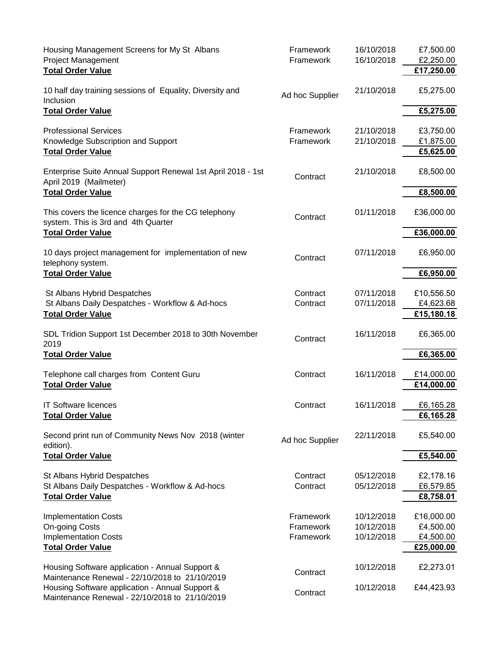| Housing Management Screens for My St Albans<br><b>Project Management</b><br><b>Total Order Value</b>       | Framework<br>Framework              | 16/10/2018<br>16/10/2018               | £7,500.00<br>£2,250.00<br>£17,250.00               |
|------------------------------------------------------------------------------------------------------------|-------------------------------------|----------------------------------------|----------------------------------------------------|
| 10 half day training sessions of Equality, Diversity and<br>Inclusion                                      | Ad hoc Supplier                     | 21/10/2018                             | £5,275.00                                          |
| <b>Total Order Value</b>                                                                                   |                                     |                                        | £5,275.00                                          |
| <b>Professional Services</b><br>Knowledge Subscription and Support<br><b>Total Order Value</b>             | Framework<br>Framework              | 21/10/2018<br>21/10/2018               | £3,750.00<br>£1,875.00<br>£5,625.00                |
| Enterprise Suite Annual Support Renewal 1st April 2018 - 1st<br>April 2019 (Mailmeter)                     | Contract                            | 21/10/2018                             | £8,500.00                                          |
| <b>Total Order Value</b>                                                                                   |                                     |                                        | £8,500.00                                          |
| This covers the licence charges for the CG telephony<br>system. This is 3rd and 4th Quarter                | Contract                            | 01/11/2018                             | £36,000.00                                         |
| <b>Total Order Value</b>                                                                                   |                                     |                                        | £36,000.00                                         |
| 10 days project management for implementation of new<br>telephony system.                                  | Contract                            | 07/11/2018                             | £6,950.00                                          |
| <b>Total Order Value</b>                                                                                   |                                     |                                        | £6,950.00                                          |
| St Albans Hybrid Despatches<br>St Albans Daily Despatches - Workflow & Ad-hocs                             | Contract<br>Contract                | 07/11/2018<br>07/11/2018               | £10,556.50<br>£4,623.68                            |
| <b>Total Order Value</b>                                                                                   |                                     |                                        | £15,180.18                                         |
| SDL Tridion Support 1st December 2018 to 30th November<br>2019                                             | Contract                            | 16/11/2018                             | £6,365.00                                          |
| <b>Total Order Value</b>                                                                                   |                                     |                                        | £6,365.00                                          |
| Telephone call charges from Content Guru<br><b>Total Order Value</b>                                       | Contract                            | 16/11/2018                             | £14,000.00<br>£14,000.00                           |
| <b>IT Software licences</b><br><b>Total Order Value</b>                                                    | Contract                            | 16/11/2018                             | £6,165.28<br>£6,165.28                             |
| Second print run of Community News Nov 2018 (winter<br>edition).                                           | Ad hoc Supplier                     | 22/11/2018                             | £5,540.00                                          |
| <b>Total Order Value</b>                                                                                   |                                     |                                        | £5,540.00                                          |
| St Albans Hybrid Despatches<br>St Albans Daily Despatches - Workflow & Ad-hocs<br><b>Total Order Value</b> | Contract<br>Contract                | 05/12/2018<br>05/12/2018               | £2,178.16<br>£6,579.85<br>£8,758.01                |
| <b>Implementation Costs</b><br>On-going Costs<br><b>Implementation Costs</b><br><b>Total Order Value</b>   | Framework<br>Framework<br>Framework | 10/12/2018<br>10/12/2018<br>10/12/2018 | £16,000.00<br>£4,500.00<br>£4,500.00<br>£25,000.00 |
| Housing Software application - Annual Support &<br>Maintenance Renewal - 22/10/2018 to 21/10/2019          | Contract                            | 10/12/2018                             | £2,273.01                                          |
| Housing Software application - Annual Support &<br>Maintenance Renewal - 22/10/2018 to 21/10/2019          | Contract                            | 10/12/2018                             | £44,423.93                                         |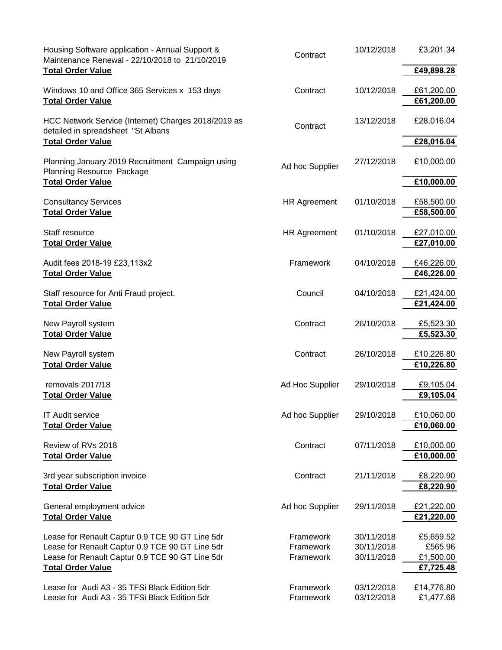| Housing Software application - Annual Support &<br>Maintenance Renewal - 22/10/2018 to 21/10/2019 | Contract            | 10/12/2018 | £3,201.34                |
|---------------------------------------------------------------------------------------------------|---------------------|------------|--------------------------|
| <b>Total Order Value</b>                                                                          |                     |            | £49,898.28               |
| Windows 10 and Office 365 Services x 153 days                                                     | Contract            | 10/12/2018 | £61,200.00               |
| <b>Total Order Value</b>                                                                          |                     |            | £61,200.00               |
| HCC Network Service (Internet) Charges 2018/2019 as<br>detailed in spreadsheet "St Albans         | Contract            | 13/12/2018 | £28,016.04               |
| <b>Total Order Value</b>                                                                          |                     |            | £28,016.04               |
| Planning January 2019 Recruitment Campaign using<br><b>Planning Resource Package</b>              | Ad hoc Supplier     | 27/12/2018 | £10,000.00               |
| <b>Total Order Value</b>                                                                          |                     |            | £10,000.00               |
| <b>Consultancy Services</b><br><b>Total Order Value</b>                                           | <b>HR Agreement</b> | 01/10/2018 | £58,500.00<br>£58,500.00 |
| Staff resource                                                                                    | <b>HR Agreement</b> | 01/10/2018 | £27,010.00               |
| <b>Total Order Value</b>                                                                          |                     |            | £27,010.00               |
| Audit fees 2018-19 £23,113x2                                                                      | Framework           | 04/10/2018 | £46,226.00               |
| <b>Total Order Value</b>                                                                          |                     |            | £46,226.00               |
| Staff resource for Anti Fraud project.                                                            | Council             | 04/10/2018 | £21,424.00               |
| <b>Total Order Value</b>                                                                          |                     |            | £21,424.00               |
| New Payroll system                                                                                | Contract            | 26/10/2018 | £5,523.30                |
| <b>Total Order Value</b>                                                                          |                     |            | £5,523.30                |
| New Payroll system                                                                                | Contract            | 26/10/2018 | £10,226.80               |
| <b>Total Order Value</b>                                                                          |                     |            | £10,226.80               |
| removals 2017/18                                                                                  | Ad Hoc Supplier     | 29/10/2018 | £9,105.04                |
| <b>Total Order Value</b>                                                                          |                     |            | £9,105.04                |
| IT Audit service                                                                                  | Ad hoc Supplier     | 29/10/2018 | £10,060.00               |
| <b>Total Order Value</b>                                                                          |                     |            | £10,060.00               |
| Review of RVs 2018                                                                                | Contract            | 07/11/2018 | £10,000.00               |
| <b>Total Order Value</b>                                                                          |                     |            | £10,000.00               |
| 3rd year subscription invoice                                                                     | Contract            | 21/11/2018 | £8,220.90                |
| <b>Total Order Value</b>                                                                          |                     |            | £8,220.90                |
| General employment advice                                                                         | Ad hoc Supplier     | 29/11/2018 | £21,220.00               |
| <b>Total Order Value</b>                                                                          |                     |            | £21,220.00               |
| Lease for Renault Captur 0.9 TCE 90 GT Line 5dr                                                   | Framework           | 30/11/2018 | £5,659.52                |
| Lease for Renault Captur 0.9 TCE 90 GT Line 5dr                                                   | Framework           | 30/11/2018 | £565.96                  |
| Lease for Renault Captur 0.9 TCE 90 GT Line 5dr                                                   | Framework           | 30/11/2018 | £1,500.00                |
| <b>Total Order Value</b>                                                                          |                     |            | £7,725.48                |
| Lease for Audi A3 - 35 TFSi Black Edition 5dr                                                     | Framework           | 03/12/2018 | £14,776.80               |
| Lease for Audi A3 - 35 TFSi Black Edition 5dr                                                     | Framework           | 03/12/2018 | £1,477.68                |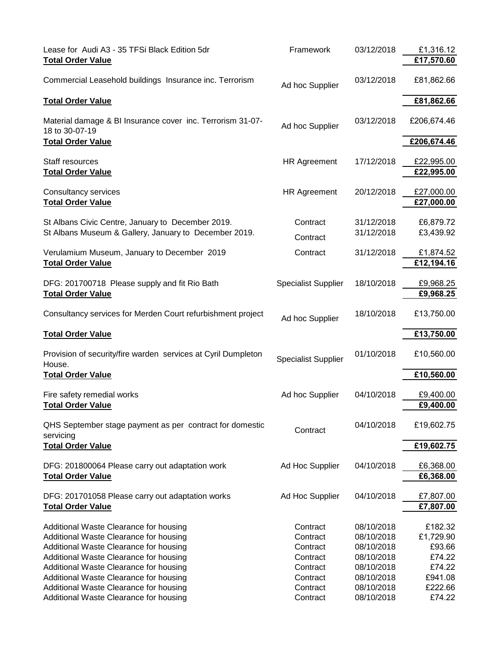| Lease for Audi A3 - 35 TFSi Black Edition 5dr<br><b>Total Order Value</b>                                                                                                                                                                                                                                                                    | Framework                                                                                    | 03/12/2018                                                                                                   | £1,316.12<br>£17,570.60                                                            |
|----------------------------------------------------------------------------------------------------------------------------------------------------------------------------------------------------------------------------------------------------------------------------------------------------------------------------------------------|----------------------------------------------------------------------------------------------|--------------------------------------------------------------------------------------------------------------|------------------------------------------------------------------------------------|
| Commercial Leasehold buildings Insurance inc. Terrorism                                                                                                                                                                                                                                                                                      | Ad hoc Supplier                                                                              | 03/12/2018                                                                                                   | £81,862.66                                                                         |
| <b>Total Order Value</b>                                                                                                                                                                                                                                                                                                                     |                                                                                              |                                                                                                              | £81,862.66                                                                         |
| Material damage & BI Insurance cover inc. Terrorism 31-07-<br>18 to 30-07-19<br><b>Total Order Value</b>                                                                                                                                                                                                                                     | Ad hoc Supplier                                                                              | 03/12/2018                                                                                                   | £206,674.46<br>£206,674.46                                                         |
| Staff resources<br><b>Total Order Value</b>                                                                                                                                                                                                                                                                                                  | <b>HR Agreement</b>                                                                          | 17/12/2018                                                                                                   | £22,995.00<br>£22,995.00                                                           |
| Consultancy services<br><b>Total Order Value</b>                                                                                                                                                                                                                                                                                             | <b>HR Agreement</b>                                                                          | 20/12/2018                                                                                                   | £27,000.00<br>£27,000.00                                                           |
| St Albans Civic Centre, January to December 2019.<br>St Albans Museum & Gallery, January to December 2019.                                                                                                                                                                                                                                   | Contract<br>Contract                                                                         | 31/12/2018<br>31/12/2018                                                                                     | £6,879.72<br>£3,439.92                                                             |
| Verulamium Museum, January to December 2019<br><b>Total Order Value</b>                                                                                                                                                                                                                                                                      | Contract                                                                                     | 31/12/2018                                                                                                   | £1,874.52<br>£12,194.16                                                            |
| DFG: 201700718 Please supply and fit Rio Bath<br><b>Total Order Value</b>                                                                                                                                                                                                                                                                    | <b>Specialist Supplier</b>                                                                   | 18/10/2018                                                                                                   | £9,968.25<br>£9,968.25                                                             |
| Consultancy services for Merden Court refurbishment project                                                                                                                                                                                                                                                                                  | Ad hoc Supplier                                                                              | 18/10/2018                                                                                                   | £13,750.00                                                                         |
| <b>Total Order Value</b>                                                                                                                                                                                                                                                                                                                     |                                                                                              |                                                                                                              | £13,750.00                                                                         |
| Provision of security/fire warden services at Cyril Dumpleton<br>House.                                                                                                                                                                                                                                                                      | <b>Specialist Supplier</b>                                                                   | 01/10/2018                                                                                                   | £10,560.00                                                                         |
| <b>Total Order Value</b>                                                                                                                                                                                                                                                                                                                     |                                                                                              |                                                                                                              | £10,560.00                                                                         |
| Fire safety remedial works<br><b>Total Order Value</b>                                                                                                                                                                                                                                                                                       | Ad hoc Supplier                                                                              | 04/10/2018                                                                                                   | £9,400.00<br>£9,400.00                                                             |
| QHS September stage payment as per contract for domestic<br>servicing                                                                                                                                                                                                                                                                        | Contract                                                                                     | 04/10/2018                                                                                                   | £19,602.75                                                                         |
| <b>Total Order Value</b>                                                                                                                                                                                                                                                                                                                     |                                                                                              |                                                                                                              | £19,602.75                                                                         |
| DFG: 201800064 Please carry out adaptation work<br><b>Total Order Value</b>                                                                                                                                                                                                                                                                  | Ad Hoc Supplier                                                                              | 04/10/2018                                                                                                   | £6,368.00<br>£6,368.00                                                             |
| DFG: 201701058 Please carry out adaptation works<br><b>Total Order Value</b>                                                                                                                                                                                                                                                                 | Ad Hoc Supplier                                                                              | 04/10/2018                                                                                                   | £7,807.00<br>£7,807.00                                                             |
| Additional Waste Clearance for housing<br>Additional Waste Clearance for housing<br>Additional Waste Clearance for housing<br>Additional Waste Clearance for housing<br>Additional Waste Clearance for housing<br>Additional Waste Clearance for housing<br>Additional Waste Clearance for housing<br>Additional Waste Clearance for housing | Contract<br>Contract<br>Contract<br>Contract<br>Contract<br>Contract<br>Contract<br>Contract | 08/10/2018<br>08/10/2018<br>08/10/2018<br>08/10/2018<br>08/10/2018<br>08/10/2018<br>08/10/2018<br>08/10/2018 | £182.32<br>£1,729.90<br>£93.66<br>£74.22<br>£74.22<br>£941.08<br>£222.66<br>£74.22 |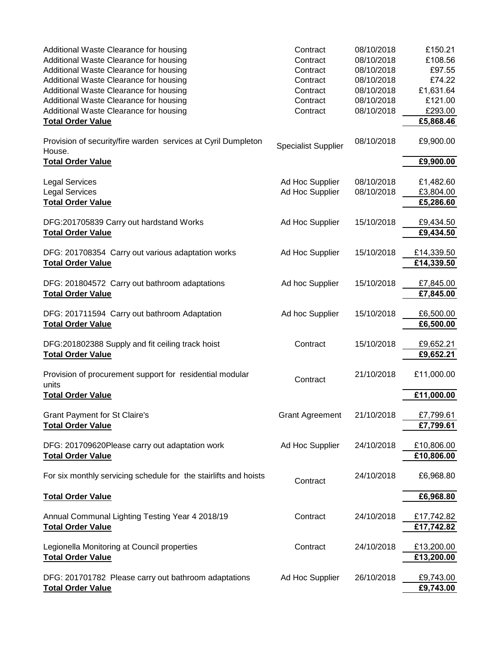| Additional Waste Clearance for housing<br>Additional Waste Clearance for housing<br>Additional Waste Clearance for housing<br>Additional Waste Clearance for housing<br>Additional Waste Clearance for housing<br>Additional Waste Clearance for housing<br>Additional Waste Clearance for housing<br><b>Total Order Value</b> | Contract<br>Contract<br>Contract<br>Contract<br>Contract<br>Contract<br>Contract | 08/10/2018<br>08/10/2018<br>08/10/2018<br>08/10/2018<br>08/10/2018<br>08/10/2018<br>08/10/2018 | £150.21<br>£108.56<br>£97.55<br>£74.22<br>£1,631.64<br>£121.00<br>£293.00<br>£5,868.46 |
|--------------------------------------------------------------------------------------------------------------------------------------------------------------------------------------------------------------------------------------------------------------------------------------------------------------------------------|----------------------------------------------------------------------------------|------------------------------------------------------------------------------------------------|----------------------------------------------------------------------------------------|
| Provision of security/fire warden services at Cyril Dumpleton<br>House.                                                                                                                                                                                                                                                        | <b>Specialist Supplier</b>                                                       | 08/10/2018                                                                                     | £9,900.00                                                                              |
| <b>Total Order Value</b>                                                                                                                                                                                                                                                                                                       |                                                                                  |                                                                                                | £9,900.00                                                                              |
| <b>Legal Services</b><br><b>Legal Services</b><br><b>Total Order Value</b>                                                                                                                                                                                                                                                     | Ad Hoc Supplier<br>Ad Hoc Supplier                                               | 08/10/2018<br>08/10/2018                                                                       | £1,482.60<br>£3,804.00<br>£5,286.60                                                    |
| DFG:201705839 Carry out hardstand Works<br><b>Total Order Value</b>                                                                                                                                                                                                                                                            | Ad Hoc Supplier                                                                  | 15/10/2018                                                                                     | £9,434.50<br>£9,434.50                                                                 |
| DFG: 201708354 Carry out various adaptation works<br><b>Total Order Value</b>                                                                                                                                                                                                                                                  | Ad Hoc Supplier                                                                  | 15/10/2018                                                                                     | £14,339.50<br>£14,339.50                                                               |
| DFG: 201804572 Carry out bathroom adaptations<br><b>Total Order Value</b>                                                                                                                                                                                                                                                      | Ad hoc Supplier                                                                  | 15/10/2018                                                                                     | £7,845.00<br>£7,845.00                                                                 |
| DFG: 201711594 Carry out bathroom Adaptation<br><b>Total Order Value</b>                                                                                                                                                                                                                                                       | Ad hoc Supplier                                                                  | 15/10/2018                                                                                     | £6,500.00<br>£6,500.00                                                                 |
| DFG:201802388 Supply and fit ceiling track hoist<br><b>Total Order Value</b>                                                                                                                                                                                                                                                   | Contract                                                                         | 15/10/2018                                                                                     | £9,652.21<br>£9,652.21                                                                 |
| Provision of procurement support for residential modular<br>units                                                                                                                                                                                                                                                              | Contract                                                                         | 21/10/2018                                                                                     | £11,000.00                                                                             |
| <b>Total Order Value</b>                                                                                                                                                                                                                                                                                                       |                                                                                  |                                                                                                | £11,000.00                                                                             |
| <b>Grant Payment for St Claire's</b><br><b>Total Order Value</b>                                                                                                                                                                                                                                                               | <b>Grant Agreement</b>                                                           | 21/10/2018                                                                                     | £7,799.61<br>£7,799.61                                                                 |
| DFG: 201709620Please carry out adaptation work<br><b>Total Order Value</b>                                                                                                                                                                                                                                                     | Ad Hoc Supplier                                                                  | 24/10/2018                                                                                     | £10,806.00<br>£10,806.00                                                               |
| For six monthly servicing schedule for the stairlifts and hoists                                                                                                                                                                                                                                                               | Contract                                                                         | 24/10/2018                                                                                     | £6,968.80                                                                              |
| <b>Total Order Value</b>                                                                                                                                                                                                                                                                                                       |                                                                                  |                                                                                                | £6,968.80                                                                              |
| Annual Communal Lighting Testing Year 4 2018/19<br><b>Total Order Value</b>                                                                                                                                                                                                                                                    | Contract                                                                         | 24/10/2018                                                                                     | £17,742.82<br>£17,742.82                                                               |
| Legionella Monitoring at Council properties<br><b>Total Order Value</b>                                                                                                                                                                                                                                                        | Contract                                                                         | 24/10/2018                                                                                     | £13,200.00<br>£13,200.00                                                               |
| DFG: 201701782 Please carry out bathroom adaptations<br><b>Total Order Value</b>                                                                                                                                                                                                                                               | Ad Hoc Supplier                                                                  | 26/10/2018                                                                                     | £9,743.00<br>£9,743.00                                                                 |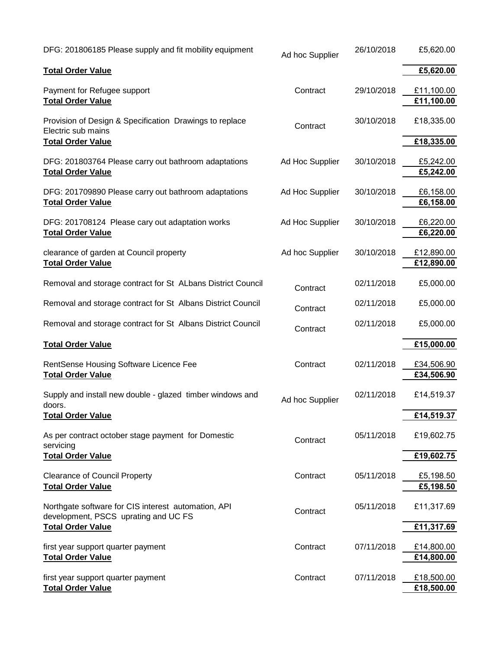| DFG: 201806185 Please supply and fit mobility equipment                                                   | Ad hoc Supplier | 26/10/2018 | £5,620.00                |
|-----------------------------------------------------------------------------------------------------------|-----------------|------------|--------------------------|
| <b>Total Order Value</b>                                                                                  |                 |            | £5,620.00                |
| Payment for Refugee support<br><b>Total Order Value</b>                                                   | Contract        | 29/10/2018 | £11,100.00<br>£11,100.00 |
| Provision of Design & Specification Drawings to replace<br>Electric sub mains<br><b>Total Order Value</b> | Contract        | 30/10/2018 | £18,335.00<br>£18,335.00 |
| DFG: 201803764 Please carry out bathroom adaptations<br><b>Total Order Value</b>                          | Ad Hoc Supplier | 30/10/2018 | £5,242.00<br>£5,242.00   |
| DFG: 201709890 Please carry out bathroom adaptations<br><b>Total Order Value</b>                          | Ad Hoc Supplier | 30/10/2018 | £6,158.00<br>£6,158.00   |
| DFG: 201708124 Please cary out adaptation works<br><b>Total Order Value</b>                               | Ad Hoc Supplier | 30/10/2018 | £6,220.00<br>£6,220.00   |
| clearance of garden at Council property<br><b>Total Order Value</b>                                       | Ad hoc Supplier | 30/10/2018 | £12,890.00<br>£12,890.00 |
| Removal and storage contract for St ALbans District Council                                               | Contract        | 02/11/2018 | £5,000.00                |
| Removal and storage contract for St Albans District Council                                               | Contract        | 02/11/2018 | £5,000.00                |
| Removal and storage contract for St Albans District Council                                               | Contract        | 02/11/2018 | £5,000.00                |
| <b>Total Order Value</b>                                                                                  |                 |            | £15,000.00               |
| RentSense Housing Software Licence Fee<br><b>Total Order Value</b>                                        | Contract        | 02/11/2018 | £34,506.90<br>£34,506.90 |
| Supply and install new double - glazed timber windows and<br>doors.                                       | Ad hoc Supplier | 02/11/2018 | £14,519.37               |
| <b>Total Order Value</b><br>As per contract october stage payment for Domestic<br>servicing               | Contract        | 05/11/2018 | £14,519.37<br>£19,602.75 |
| <b>Total Order Value</b>                                                                                  |                 |            | £19,602.75               |
| <b>Clearance of Council Property</b><br><b>Total Order Value</b>                                          | Contract        | 05/11/2018 | £5,198.50<br>£5,198.50   |
| Northgate software for CIS interest automation, API<br>development, PSCS uprating and UC FS               | Contract        | 05/11/2018 | £11,317.69               |
| <b>Total Order Value</b>                                                                                  |                 |            | £11,317.69               |
| first year support quarter payment<br><b>Total Order Value</b>                                            | Contract        | 07/11/2018 | £14,800.00<br>£14,800.00 |
| first year support quarter payment<br><b>Total Order Value</b>                                            | Contract        | 07/11/2018 | £18,500.00<br>£18,500.00 |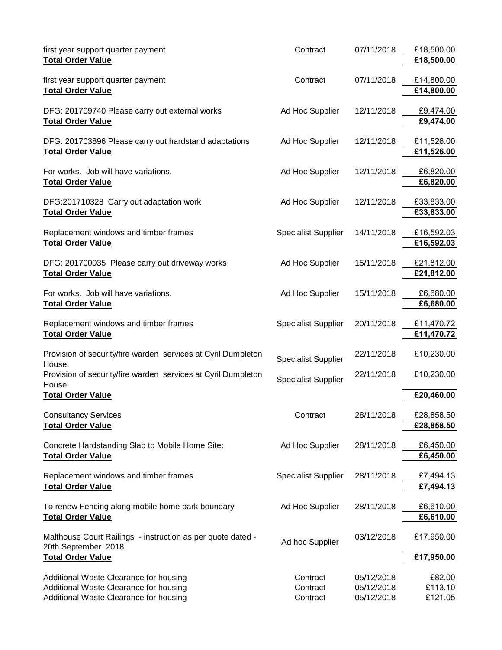| first year support quarter payment<br><b>Total Order Value</b>                                                             | Contract                         | 07/11/2018                             | £18,500.00<br>£18,500.00     |
|----------------------------------------------------------------------------------------------------------------------------|----------------------------------|----------------------------------------|------------------------------|
| first year support quarter payment<br><b>Total Order Value</b>                                                             | Contract                         | 07/11/2018                             | £14,800.00<br>£14,800.00     |
| DFG: 201709740 Please carry out external works<br><b>Total Order Value</b>                                                 | Ad Hoc Supplier                  | 12/11/2018                             | £9,474.00<br>£9,474.00       |
| DFG: 201703896 Please carry out hardstand adaptations<br><b>Total Order Value</b>                                          | Ad Hoc Supplier                  | 12/11/2018                             | £11,526.00<br>£11,526.00     |
| For works. Job will have variations.<br><b>Total Order Value</b>                                                           | Ad Hoc Supplier                  | 12/11/2018                             | £6,820.00<br>£6,820.00       |
| DFG:201710328 Carry out adaptation work<br><b>Total Order Value</b>                                                        | Ad Hoc Supplier                  | 12/11/2018                             | £33,833.00<br>£33,833.00     |
| Replacement windows and timber frames<br><b>Total Order Value</b>                                                          | <b>Specialist Supplier</b>       | 14/11/2018                             | £16,592.03<br>£16,592.03     |
| DFG: 201700035 Please carry out driveway works<br><b>Total Order Value</b>                                                 | Ad Hoc Supplier                  | 15/11/2018                             | £21,812.00<br>£21,812.00     |
| For works. Job will have variations.<br><b>Total Order Value</b>                                                           | Ad Hoc Supplier                  | 15/11/2018                             | £6,680.00<br>£6,680.00       |
| Replacement windows and timber frames<br><b>Total Order Value</b>                                                          | <b>Specialist Supplier</b>       | 20/11/2018                             | £11,470.72<br>£11,470.72     |
| Provision of security/fire warden services at Cyril Dumpleton<br>House.                                                    | <b>Specialist Supplier</b>       | 22/11/2018                             | £10,230.00                   |
| Provision of security/fire warden services at Cyril Dumpleton<br>House.<br><b>Total Order Value</b>                        | <b>Specialist Supplier</b>       | 22/11/2018                             | £10,230.00<br>£20,460.00     |
| <b>Consultancy Services</b><br><b>Total Order Value</b>                                                                    | Contract                         | 28/11/2018                             | £28,858.50<br>£28,858.50     |
| Concrete Hardstanding Slab to Mobile Home Site:<br><b>Total Order Value</b>                                                | Ad Hoc Supplier                  | 28/11/2018                             | £6,450.00<br>£6,450.00       |
| Replacement windows and timber frames<br><b>Total Order Value</b>                                                          | <b>Specialist Supplier</b>       | 28/11/2018                             | £7,494.13<br>£7,494.13       |
| To renew Fencing along mobile home park boundary<br><b>Total Order Value</b>                                               | Ad Hoc Supplier                  | 28/11/2018                             | £6,610.00<br>£6,610.00       |
| Malthouse Court Railings - instruction as per quote dated -<br>20th September 2018                                         | Ad hoc Supplier                  | 03/12/2018                             | £17,950.00                   |
| <b>Total Order Value</b>                                                                                                   |                                  |                                        | £17,950.00                   |
| Additional Waste Clearance for housing<br>Additional Waste Clearance for housing<br>Additional Waste Clearance for housing | Contract<br>Contract<br>Contract | 05/12/2018<br>05/12/2018<br>05/12/2018 | £82.00<br>£113.10<br>£121.05 |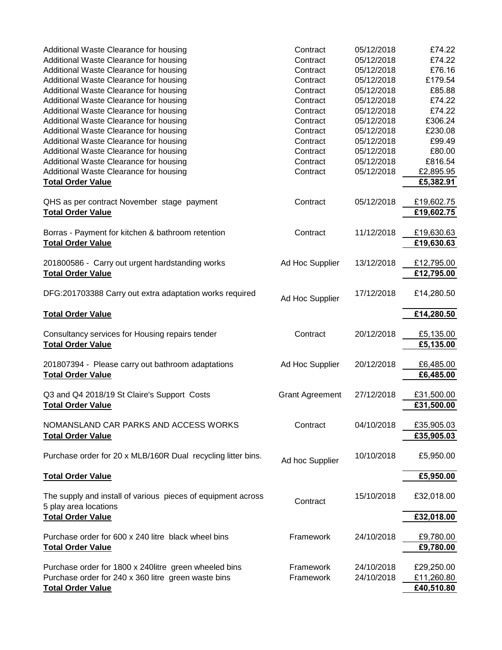| Additional Waste Clearance for housing<br>Additional Waste Clearance for housing | Contract<br>Contract   | 05/12/2018<br>05/12/2018 | £74.22<br>£74.22 |
|----------------------------------------------------------------------------------|------------------------|--------------------------|------------------|
|                                                                                  |                        |                          |                  |
| Additional Waste Clearance for housing                                           | Contract               | 05/12/2018               | £76.16           |
| Additional Waste Clearance for housing                                           | Contract               | 05/12/2018               | £179.54          |
| Additional Waste Clearance for housing                                           | Contract               | 05/12/2018               | £85.88           |
| Additional Waste Clearance for housing                                           | Contract               | 05/12/2018               | £74.22           |
| Additional Waste Clearance for housing                                           | Contract               | 05/12/2018               | £74.22           |
| Additional Waste Clearance for housing                                           | Contract               | 05/12/2018               | £306.24          |
| Additional Waste Clearance for housing                                           | Contract               | 05/12/2018               | £230.08          |
| Additional Waste Clearance for housing                                           | Contract               | 05/12/2018               | £99.49           |
| Additional Waste Clearance for housing                                           | Contract               | 05/12/2018               | £80.00           |
| Additional Waste Clearance for housing                                           | Contract               | 05/12/2018               | £816.54          |
| Additional Waste Clearance for housing                                           | Contract               | 05/12/2018               | £2,895.95        |
|                                                                                  |                        |                          |                  |
| <b>Total Order Value</b>                                                         |                        |                          | £5,382.91        |
| QHS as per contract November stage payment                                       | Contract               | 05/12/2018               | £19,602.75       |
| <b>Total Order Value</b>                                                         |                        |                          | £19,602.75       |
|                                                                                  | Contract               | 11/12/2018               | £19,630.63       |
| Borras - Payment for kitchen & bathroom retention                                |                        |                          |                  |
| <b>Total Order Value</b>                                                         |                        |                          | £19,630.63       |
| 201800586 - Carry out urgent hardstanding works                                  | Ad Hoc Supplier        | 13/12/2018               | £12,795.00       |
| <b>Total Order Value</b>                                                         |                        |                          | £12,795.00       |
|                                                                                  |                        |                          |                  |
| DFG:201703388 Carry out extra adaptation works required                          | Ad Hoc Supplier        | 17/12/2018               | £14,280.50       |
|                                                                                  |                        |                          |                  |
| <b>Total Order Value</b>                                                         |                        |                          | £14,280.50       |
| Consultancy services for Housing repairs tender                                  | Contract               | 20/12/2018               | £5,135.00        |
| <b>Total Order Value</b>                                                         |                        |                          | £5,135.00        |
|                                                                                  |                        |                          |                  |
| 201807394 - Please carry out bathroom adaptations                                | Ad Hoc Supplier        | 20/12/2018               | £6,485.00        |
| <b>Total Order Value</b>                                                         |                        |                          | £6,485.00        |
|                                                                                  |                        |                          |                  |
| Q3 and Q4 2018/19 St Claire's Support Costs                                      | <b>Grant Agreement</b> | 27/12/2018               | £31,500.00       |
| <b>Total Order Value</b>                                                         |                        |                          | £31,500.00       |
|                                                                                  |                        |                          |                  |
| NOMANSLAND CAR PARKS AND ACCESS WORKS                                            | Contract               | 04/10/2018               | £35,905.03       |
| <b>Total Order Value</b>                                                         |                        |                          | £35,905.03       |
|                                                                                  |                        |                          |                  |
| Purchase order for 20 x MLB/160R Dual recycling litter bins.                     |                        | 10/10/2018               | £5,950.00        |
|                                                                                  | Ad hoc Supplier        |                          |                  |
| <b>Total Order Value</b>                                                         |                        |                          | £5,950.00        |
|                                                                                  |                        |                          |                  |
| The supply and install of various pieces of equipment across                     | Contract               | 15/10/2018               | £32,018.00       |
| 5 play area locations                                                            |                        |                          |                  |
| <b>Total Order Value</b>                                                         |                        |                          | £32,018.00       |
|                                                                                  | Framework              |                          |                  |
| Purchase order for 600 x 240 litre black wheel bins                              |                        | 24/10/2018               | £9,780.00        |
| <b>Total Order Value</b>                                                         |                        |                          | £9,780.00        |
| Purchase order for 1800 x 240 litre green wheeled bins                           | Framework              | 24/10/2018               | £29,250.00       |
| Purchase order for 240 x 360 litre green waste bins                              | Framework              | 24/10/2018               | £11,260.80       |
|                                                                                  |                        |                          |                  |
| <b>Total Order Value</b>                                                         |                        |                          | £40,510.80       |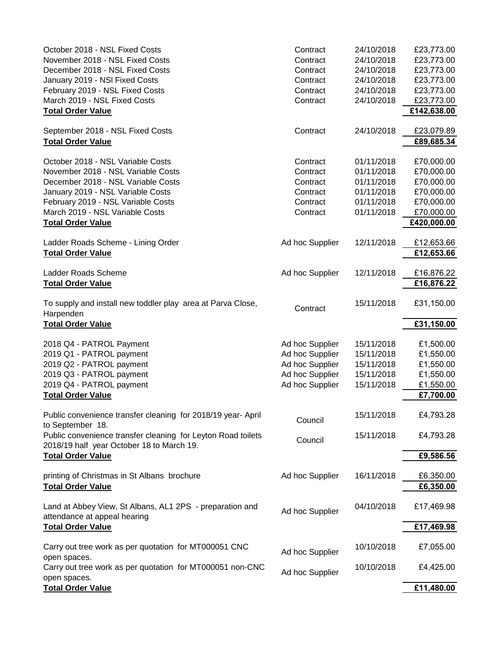| October 2018 - NSL Fixed Costs<br>November 2018 - NSL Fixed Costs<br>December 2018 - NSL Fixed Costs<br>January 2019 - NSI Fixed Costs<br>February 2019 - NSL Fixed Costs<br>March 2019 - NSL Fixed Costs<br><b>Total Order Value</b>                   | Contract<br>Contract<br>Contract<br>Contract<br>Contract<br>Contract                        | 24/10/2018<br>24/10/2018<br>24/10/2018<br>24/10/2018<br>24/10/2018<br>24/10/2018 | £23,773.00<br>£23,773.00<br>£23,773.00<br>£23,773.00<br>£23,773.00<br>£23,773.00<br>£142,638.00 |
|---------------------------------------------------------------------------------------------------------------------------------------------------------------------------------------------------------------------------------------------------------|---------------------------------------------------------------------------------------------|----------------------------------------------------------------------------------|-------------------------------------------------------------------------------------------------|
| September 2018 - NSL Fixed Costs<br><b>Total Order Value</b>                                                                                                                                                                                            | Contract                                                                                    | 24/10/2018                                                                       | £23,079.89<br>£89,685.34                                                                        |
| October 2018 - NSL Variable Costs<br>November 2018 - NSL Variable Costs<br>December 2018 - NSL Variable Costs<br>January 2019 - NSL Variable Costs<br>February 2019 - NSL Variable Costs<br>March 2019 - NSL Variable Costs<br><b>Total Order Value</b> | Contract<br>Contract<br>Contract<br>Contract<br>Contract<br>Contract                        | 01/11/2018<br>01/11/2018<br>01/11/2018<br>01/11/2018<br>01/11/2018<br>01/11/2018 | £70,000.00<br>£70,000.00<br>£70,000.00<br>£70,000.00<br>£70,000.00<br>£70,000.00<br>£420,000.00 |
| Ladder Roads Scheme - Lining Order<br><b>Total Order Value</b>                                                                                                                                                                                          | Ad hoc Supplier                                                                             | 12/11/2018                                                                       | £12,653.66<br>£12,653.66                                                                        |
| Ladder Roads Scheme<br><b>Total Order Value</b>                                                                                                                                                                                                         | Ad hoc Supplier                                                                             | 12/11/2018                                                                       | £16,876.22<br>£16,876.22                                                                        |
| To supply and install new toddler play area at Parva Close,<br>Harpenden<br><b>Total Order Value</b>                                                                                                                                                    | Contract                                                                                    | 15/11/2018                                                                       | £31,150.00<br>£31,150.00                                                                        |
| 2018 Q4 - PATROL Payment<br>2019 Q1 - PATROL payment<br>2019 Q2 - PATROL payment<br>2019 Q3 - PATROL payment<br>2019 Q4 - PATROL payment<br><b>Total Order Value</b>                                                                                    | Ad hoc Supplier<br>Ad hoc Supplier<br>Ad hoc Supplier<br>Ad hoc Supplier<br>Ad hoc Supplier | 15/11/2018<br>15/11/2018<br>15/11/2018<br>15/11/2018<br>15/11/2018               | £1,500.00<br>£1,550.00<br>£1,550.00<br>£1,550.00<br>£1,550.00<br>£7,700.00                      |
| Public convenience transfer cleaning for 2018/19 year- April<br>to September 18.                                                                                                                                                                        | Council                                                                                     | 15/11/2018                                                                       | £4,793.28                                                                                       |
| Public convenience transfer cleaning for Leyton Road toilets<br>2018/19 half year October 18 to March 19.<br><b>Total Order Value</b>                                                                                                                   | Council                                                                                     | 15/11/2018                                                                       | £4,793.28<br>£9,586.56                                                                          |
| printing of Christmas in St Albans brochure<br><b>Total Order Value</b>                                                                                                                                                                                 | Ad hoc Supplier                                                                             | 16/11/2018                                                                       | £6,350.00<br>£6,350.00                                                                          |
| Land at Abbey View, St Albans, AL1 2PS - preparation and<br>attendance at appeal hearing<br><b>Total Order Value</b>                                                                                                                                    | Ad hoc Supplier                                                                             | 04/10/2018                                                                       | £17,469.98<br>£17,469.98                                                                        |
|                                                                                                                                                                                                                                                         |                                                                                             |                                                                                  |                                                                                                 |
| Carry out tree work as per quotation for MT000051 CNC<br>open spaces.<br>Carry out tree work as per quotation for MT000051 non-CNC                                                                                                                      | Ad hoc Supplier<br>Ad hoc Supplier                                                          | 10/10/2018<br>10/10/2018                                                         | £7,055.00<br>£4,425.00                                                                          |
| open spaces.<br><b>Total Order Value</b>                                                                                                                                                                                                                |                                                                                             |                                                                                  | £11,480.00                                                                                      |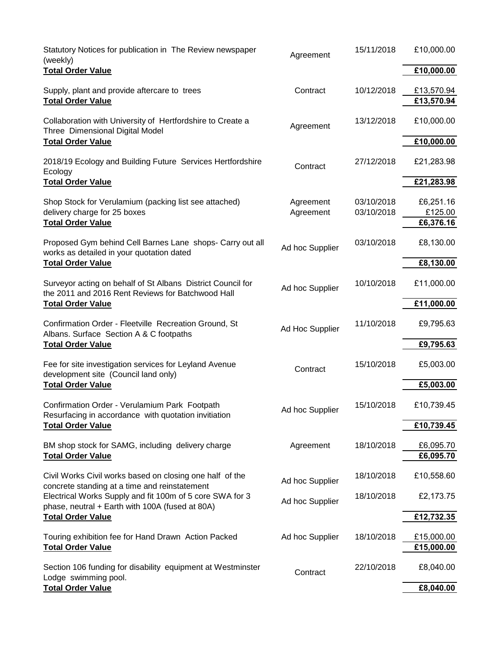| Statutory Notices for publication in The Review newspaper<br>(weekly)                                            | Agreement       | 15/11/2018 | £10,000.00           |
|------------------------------------------------------------------------------------------------------------------|-----------------|------------|----------------------|
| <b>Total Order Value</b>                                                                                         |                 |            | £10,000.00           |
| Supply, plant and provide aftercare to trees                                                                     | Contract        | 10/12/2018 | £13,570.94           |
| <b>Total Order Value</b>                                                                                         |                 |            | £13,570.94           |
| Collaboration with University of Hertfordshire to Create a<br>Three Dimensional Digital Model                    | Agreement       | 13/12/2018 | £10,000.00           |
| <b>Total Order Value</b>                                                                                         |                 |            | £10,000.00           |
| 2018/19 Ecology and Building Future Services Hertfordshire<br>Ecology                                            | Contract        | 27/12/2018 | £21,283.98           |
| <b>Total Order Value</b>                                                                                         |                 |            | £21,283.98           |
| Shop Stock for Verulamium (packing list see attached)                                                            | Agreement       | 03/10/2018 | £6,251.16            |
| delivery charge for 25 boxes<br><b>Total Order Value</b>                                                         | Agreement       | 03/10/2018 | £125.00<br>£6,376.16 |
| Proposed Gym behind Cell Barnes Lane shops- Carry out all<br>works as detailed in your quotation dated           | Ad hoc Supplier | 03/10/2018 | £8,130.00            |
| <b>Total Order Value</b>                                                                                         |                 |            | £8,130.00            |
| Surveyor acting on behalf of St Albans District Council for<br>the 2011 and 2016 Rent Reviews for Batchwood Hall | Ad hoc Supplier | 10/10/2018 | £11,000.00           |
| <b>Total Order Value</b>                                                                                         |                 |            | £11,000.00           |
| Confirmation Order - Fleetville Recreation Ground, St<br>Albans. Surface Section A & C footpaths                 | Ad Hoc Supplier | 11/10/2018 | £9,795.63            |
| <b>Total Order Value</b>                                                                                         |                 |            | £9,795.63            |
| Fee for site investigation services for Leyland Avenue<br>development site (Council land only)                   | Contract        | 15/10/2018 | £5,003.00            |
| <b>Total Order Value</b>                                                                                         |                 |            | £5,003.00            |
| Confirmation Order - Verulamium Park Footpath<br>Resurfacing in accordance with quotation invitiation            | Ad hoc Supplier | 15/10/2018 | £10,739.45           |
| <b>Total Order Value</b>                                                                                         |                 |            | £10,739.45           |
| BM shop stock for SAMG, including delivery charge                                                                | Agreement       | 18/10/2018 | £6,095.70            |
| <b>Total Order Value</b>                                                                                         |                 |            | £6,095.70            |
| Civil Works Civil works based on closing one half of the<br>concrete standing at a time and reinstatement        | Ad hoc Supplier | 18/10/2018 | £10,558.60           |
| Electrical Works Supply and fit 100m of 5 core SWA for 3<br>phase, neutral + Earth with 100A (fused at 80A)      | Ad hoc Supplier | 18/10/2018 | £2,173.75            |
| <b>Total Order Value</b>                                                                                         |                 |            | £12,732.35           |
| Touring exhibition fee for Hand Drawn Action Packed                                                              | Ad hoc Supplier | 18/10/2018 | £15,000.00           |
| <b>Total Order Value</b>                                                                                         |                 |            | £15,000.00           |
| Section 106 funding for disability equipment at Westminster<br>Lodge swimming pool.                              | Contract        | 22/10/2018 | £8,040.00            |
| <b>Total Order Value</b>                                                                                         |                 |            | £8,040.00            |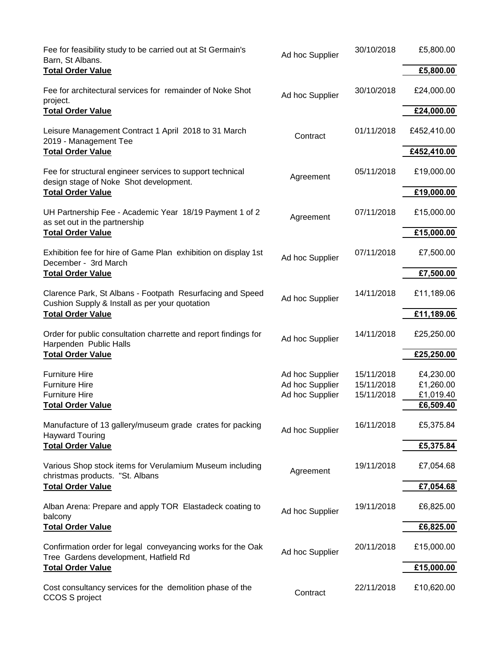| Fee for feasibility study to be carried out at St Germain's<br>Barn, St Albans.                             | Ad hoc Supplier                    | 30/10/2018               | £5,800.00              |
|-------------------------------------------------------------------------------------------------------------|------------------------------------|--------------------------|------------------------|
| <b>Total Order Value</b>                                                                                    |                                    |                          | £5,800.00              |
| Fee for architectural services for remainder of Noke Shot<br>project.                                       | Ad hoc Supplier                    | 30/10/2018               | £24,000.00             |
| <b>Total Order Value</b>                                                                                    |                                    |                          | £24,000.00             |
| Leisure Management Contract 1 April 2018 to 31 March<br>2019 - Management Tee                               | Contract                           | 01/11/2018               | £452,410.00            |
| <b>Total Order Value</b>                                                                                    |                                    |                          | £452,410.00            |
| Fee for structural engineer services to support technical<br>design stage of Noke Shot development.         | Agreement                          | 05/11/2018               | £19,000.00             |
| <b>Total Order Value</b>                                                                                    |                                    |                          | £19,000.00             |
| UH Partnership Fee - Academic Year 18/19 Payment 1 of 2<br>as set out in the partnership                    | Agreement                          | 07/11/2018               | £15,000.00             |
| <b>Total Order Value</b>                                                                                    |                                    |                          | £15,000.00             |
| Exhibition fee for hire of Game Plan exhibition on display 1st<br>December - 3rd March                      | Ad hoc Supplier                    | 07/11/2018               | £7,500.00              |
| <b>Total Order Value</b>                                                                                    |                                    |                          | £7,500.00              |
| Clarence Park, St Albans - Footpath Resurfacing and Speed<br>Cushion Supply & Install as per your quotation | Ad hoc Supplier                    | 14/11/2018               | £11,189.06             |
| <b>Total Order Value</b>                                                                                    |                                    |                          | £11,189.06             |
| Order for public consultation charrette and report findings for<br>Harpenden Public Halls                   | Ad hoc Supplier                    | 14/11/2018               | £25,250.00             |
| <b>Total Order Value</b>                                                                                    |                                    |                          | £25,250.00             |
| <b>Furniture Hire</b><br><b>Furniture Hire</b>                                                              | Ad hoc Supplier<br>Ad hoc Supplier | 15/11/2018<br>15/11/2018 | £4,230.00<br>£1,260.00 |
| <b>Furniture Hire</b><br><b>Total Order Value</b>                                                           | Ad hoc Supplier                    | 15/11/2018               | £1,019.40<br>£6,509.40 |
| Manufacture of 13 gallery/museum grade crates for packing                                                   | Ad hoc Supplier                    | 16/11/2018               | £5,375.84              |
| <b>Hayward Touring</b><br><b>Total Order Value</b>                                                          |                                    |                          | £5,375.84              |
| Various Shop stock items for Verulamium Museum including<br>christmas products. "St. Albans                 | Agreement                          | 19/11/2018               | £7,054.68              |
| <b>Total Order Value</b>                                                                                    |                                    |                          | £7,054.68              |
| Alban Arena: Prepare and apply TOR Elastadeck coating to<br>balcony                                         | Ad hoc Supplier                    | 19/11/2018               | £6,825.00              |
| <b>Total Order Value</b>                                                                                    |                                    |                          | £6,825.00              |
| Confirmation order for legal conveyancing works for the Oak<br>Tree Gardens development, Hatfield Rd        | Ad hoc Supplier                    | 20/11/2018               | £15,000.00             |
| <b>Total Order Value</b>                                                                                    |                                    |                          | £15,000.00             |
| Cost consultancy services for the demolition phase of the<br>CCOS S project                                 | Contract                           | 22/11/2018               | £10,620.00             |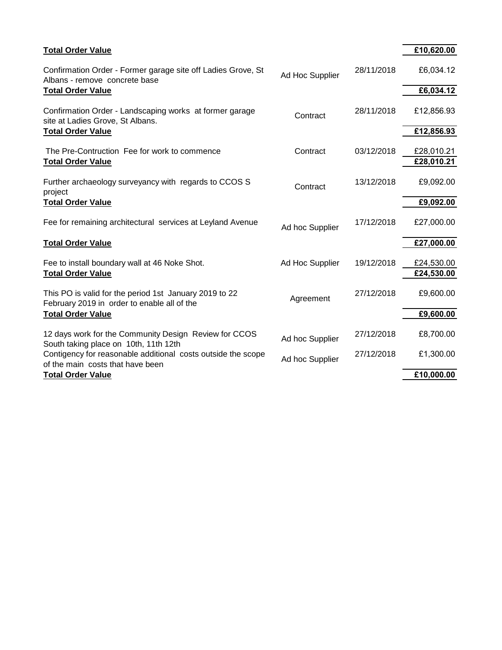| <b>Total Order Value</b>                                                                              |                 |            | £10,620.00               |
|-------------------------------------------------------------------------------------------------------|-----------------|------------|--------------------------|
| Confirmation Order - Former garage site off Ladies Grove, St<br>Albans - remove concrete base         | Ad Hoc Supplier | 28/11/2018 | £6,034.12                |
| <b>Total Order Value</b>                                                                              |                 |            | £6,034.12                |
| Confirmation Order - Landscaping works at former garage<br>site at Ladies Grove, St Albans.           | Contract        | 28/11/2018 | £12,856.93               |
| <b>Total Order Value</b>                                                                              |                 |            | £12,856.93               |
| The Pre-Contruction Fee for work to commence                                                          | Contract        | 03/12/2018 | £28,010.21               |
| <b>Total Order Value</b>                                                                              |                 |            | £28,010.21               |
| Further archaeology surveyancy with regards to CCOS S<br>project                                      | Contract        | 13/12/2018 | £9,092.00                |
| <b>Total Order Value</b>                                                                              |                 |            | £9,092.00                |
| Fee for remaining architectural services at Leyland Avenue                                            | Ad hoc Supplier | 17/12/2018 | £27,000.00               |
| <b>Total Order Value</b>                                                                              |                 |            | £27,000.00               |
| Fee to install boundary wall at 46 Noke Shot.<br><b>Total Order Value</b>                             | Ad Hoc Supplier | 19/12/2018 | £24,530.00<br>£24,530.00 |
| This PO is valid for the period 1st January 2019 to 22<br>February 2019 in order to enable all of the | Agreement       | 27/12/2018 | £9,600.00                |
| <b>Total Order Value</b>                                                                              |                 |            | £9,600.00                |
| 12 days work for the Community Design Review for CCOS<br>South taking place on 10th, 11th 12th        | Ad hoc Supplier | 27/12/2018 | £8,700.00                |
| Contigency for reasonable additional costs outside the scope<br>of the main costs that have been      | Ad hoc Supplier | 27/12/2018 | £1,300.00                |
| <b>Total Order Value</b>                                                                              |                 |            | £10,000.00               |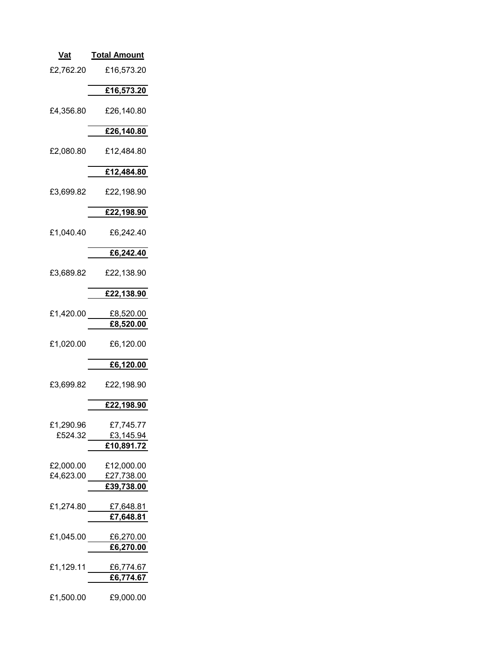| <u>Vat</u>             | <u> Total Amount</u>               |
|------------------------|------------------------------------|
| £2,762.20              | £16,573.20                         |
|                        | £16,573.20                         |
| £4,356.80              | £26,140.80                         |
|                        | £26,140.80                         |
| £2,080.80              | £12,484.80                         |
|                        | £12,484.80                         |
| £3,699.82              | £22,198.90                         |
|                        | £22,198.90                         |
| £1,040.40              | £6,242.40                          |
|                        | £6,242.40                          |
| £3,689.82              | £22,138.90                         |
|                        | £22,138.90                         |
| £1,420.00              | £8,520.00<br>£8,520.00             |
| £1,020.00              | £6,120.00                          |
|                        | £6,120.00                          |
| £3,699.82              | £22,198.90                         |
|                        | £22,198.90                         |
| £1,290.96<br>£524.32   | £7,745.77<br>£3,145.94             |
|                        | £10,891.72                         |
| £2,000.00<br>£4,623.00 | £12,000.00<br>£27,738.00           |
|                        | £39,738.00                         |
| £1,274.80              | £7,648.81<br>£7,648.81             |
|                        | £1,045.00 $E6,270.00$<br>£6,270.00 |
| £1,129.11              | £6,774.67                          |
|                        | £6,774.67                          |
| £1,500.00              | £9,000.00                          |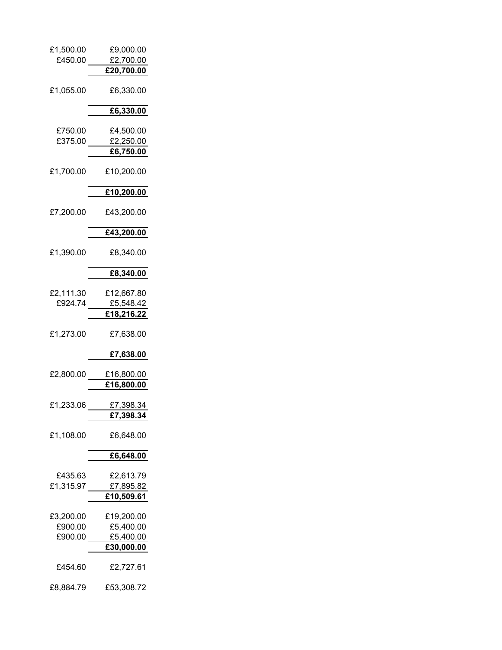| £1,500.00<br>£450.00 | £9,000.00               |
|----------------------|-------------------------|
|                      | £2,700.00               |
|                      | £20,700.00              |
| £1,055.00            | £6,330.00               |
|                      | £6,330.00               |
| £750.00              | £4,500.00               |
| £375.00              | £2,250.00               |
|                      | <u>£6,750.00</u>        |
| £1,700.00            | £10,200.00              |
|                      | £10,200.00              |
|                      |                         |
| £7,200.00            | £43,200.00              |
|                      | £43,200.00              |
| £1,390.00            | £8,340.00               |
|                      | £8,340.00               |
|                      |                         |
| £2,111.30            | £12,667.80              |
| £924.74              | £5,548.42               |
|                      | £18,216.22              |
| £1,273.00            | £7,638.00               |
|                      | £7,638.00               |
|                      |                         |
| £2,800.00            | £16,800.00              |
|                      | <u>£16,800.00</u>       |
|                      |                         |
| £1,233.06            | £7,398.34               |
|                      | £7,398.34               |
| £1,108.00            | £6,648.00               |
|                      | £6,648.00               |
|                      |                         |
| £435.63              | £2,613.79               |
| £1,315.97            | £7,895.82               |
|                      | £10,509.61              |
|                      |                         |
| £3,200.00<br>£900.00 | £19,200.00<br>£5,400.00 |
| £900.00              |                         |
|                      | £5,400.00               |
|                      | £30,000.00              |
| £454.60              | £2,727.61               |
| £8,884.79            | £53,308.72              |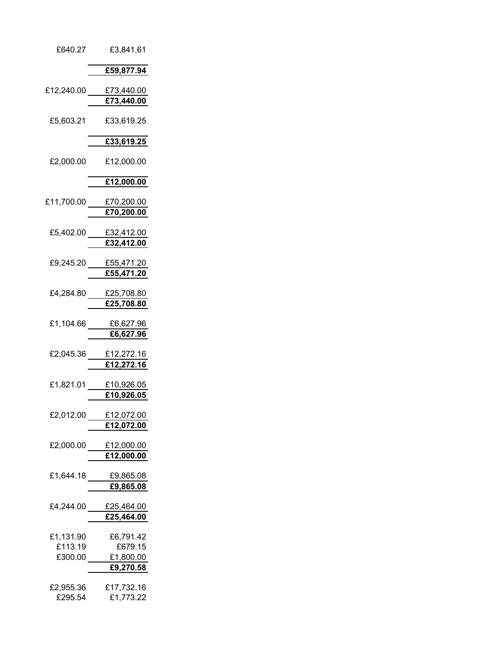| £640.27              | £3,841.61                           |
|----------------------|-------------------------------------|
|                      | £59,877.94                          |
|                      | £12,240.00 £73,440.00               |
|                      | £73,440.00                          |
| £5,603.21            | £33,619.25                          |
|                      | £33,619.25                          |
| £2,000.00            | £12,000.00                          |
|                      | £12,000.00                          |
|                      | £11,700.00 £70,200.00<br>£70,200.00 |
|                      | £5,402.00 £32,412.00                |
|                      | £32,412.00                          |
|                      | £9,245.20 £55,471.20                |
|                      | £55,471.20                          |
|                      | £4,284.80 £25,708.80<br>£25,708.80  |
|                      | £1,104.66 £6,627.96<br>£6,627.96    |
| £2,045.36            | £12,272.16<br>£12,272.16            |
|                      | £1,821.01 £10,926.05<br>£10,926.05  |
| £2,012.00            | £12,072.00<br>£12,072.00            |
|                      | £2,000.00 £12,000.00<br>£12,000.00  |
|                      | £9,865.08                           |
| £4,244.00            | £25,464.00<br>£25,464.00            |
| £1,131.90            | £6,791.42                           |
| £113.19              | £679.15                             |
| £300.00              | £1,800.00<br>£9,270.58              |
|                      |                                     |
| £2,955.36<br>£295.54 | £17,732.16<br>£1,773.22             |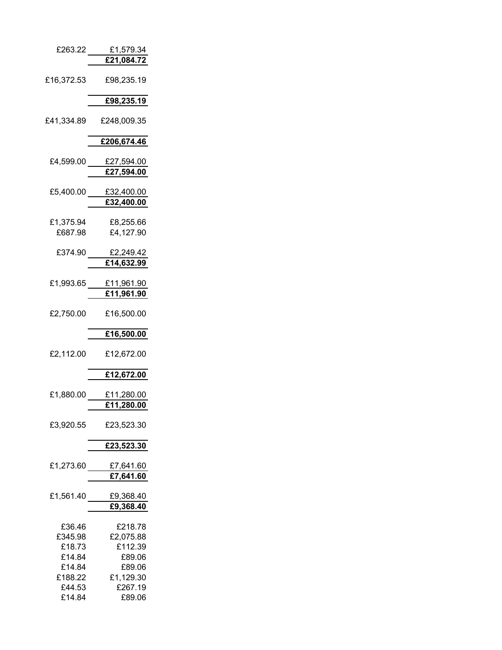| £263.22          | <u>£1,579.34</u>                |
|------------------|---------------------------------|
|                  | £21,084.72                      |
| £16,372.53       | £98,235.19                      |
|                  | £98,235.19                      |
| £41,334.89       | £248,009.35                     |
|                  | £206,674.46                     |
|                  |                                 |
| £4,599.00        | £27,594.00                      |
|                  | £27,594.00                      |
|                  |                                 |
| £5,400.00        | <u>£32,400.00</u><br>£32,400.00 |
|                  |                                 |
| £1,375.94        | £8,255.66                       |
| £687.98          | £4,127.90                       |
|                  |                                 |
| £374.90          | £2,249.42<br>£14,632.99         |
|                  |                                 |
| £1,993.65        | £11,961.90                      |
|                  | £11,961.90                      |
|                  |                                 |
| £2,750.00        | £16,500.00                      |
|                  | £16,500.00                      |
|                  |                                 |
| £2,112.00        | £12,672.00                      |
|                  |                                 |
|                  | £12,672.00                      |
| £1,880.00        | £11,280.00                      |
|                  | <u>£11,280.00</u>               |
|                  |                                 |
| £3,920.55        | £23,523.30                      |
|                  | £23,523.30                      |
|                  |                                 |
| £1,273.60        | £7,641.60                       |
|                  | £7,641.60                       |
| £1,561.40        | £9,368.40                       |
|                  | £9,368.40                       |
|                  |                                 |
| £36.46           | £218.78                         |
| £345.98          | £2,075.88                       |
| £18.73<br>£14.84 | £112.39                         |
| £14.84           | £89.06<br>£89.06                |
| £188.22          | £1,129.30                       |
| £44.53           | £267.19                         |
| £14.84           | £89.06                          |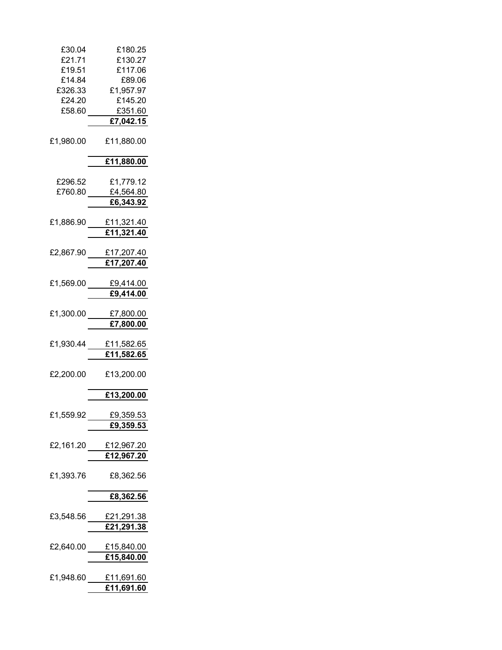| £30.04<br>£21.71 | £180.25                                 |
|------------------|-----------------------------------------|
| £19.51           | £130.27<br>£117.06                      |
| £14.84           | £89.06                                  |
| £326.33          | £1,957.97                               |
| £24.20           | £145.20                                 |
| £58.60           | £351.60<br>£7,042.15                    |
|                  |                                         |
| £1,980.00        | £11,880.00                              |
|                  | £11,880.00                              |
| £296.52          | £1,779.12                               |
| £760.80          | £4,564.80                               |
|                  | £6,343.92                               |
| £1,886.90        | £11,321.40                              |
|                  | £11,321.40                              |
|                  |                                         |
| £2,867.90        | £17,207.40                              |
|                  | £17,207.40                              |
| £1,569.00        | £9,414.00                               |
|                  | £9,414.00                               |
|                  |                                         |
| £1,300.00        | £7,800.00<br>£7,800.00                  |
|                  |                                         |
| £1,930.44        | £11,582.65                              |
|                  | £11,582.65                              |
| £2,200.00        | £13,200.00                              |
|                  | £13,200.00                              |
|                  |                                         |
|                  | £1,559.92 £9,359.53<br><u>£9,359.53</u> |
|                  |                                         |
|                  | £2,161.20 £12,967.20                    |
|                  | £12,967.20                              |
| £1,393.76        | £8,362.56                               |
|                  | £8,362.56                               |
|                  |                                         |
|                  | £3,548.56 £21,291.38                    |
|                  | £21,291.38                              |
|                  | £2,640.00 £15,840.00                    |
|                  | £15,840.00                              |
|                  | £1,948.60 £11,691.60                    |
|                  | £11,691.60                              |
|                  |                                         |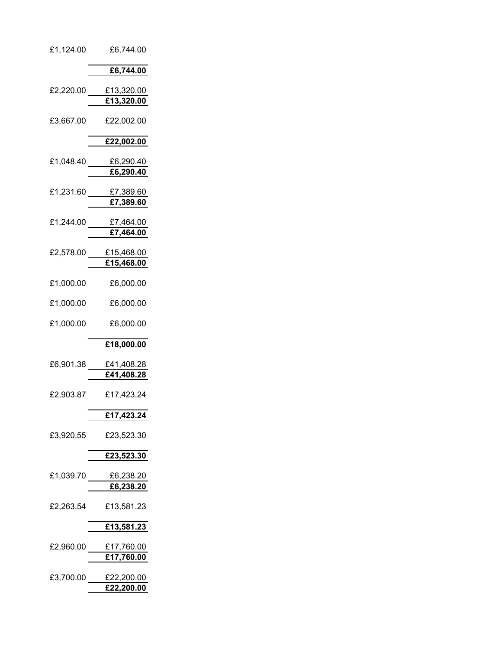| £1,124.00 | £6,744.00                          |  |
|-----------|------------------------------------|--|
|           | £6,744.00                          |  |
|           | £2,220.00 £13,320.00<br>£13,320.00 |  |
| £3,667.00 | £22,002.00                         |  |
|           | £22,002.00                         |  |
|           | £1,048.40 £6,290.40<br>£6,290.40   |  |
|           | £1,231.60 £7,389.60<br>£7,389.60   |  |
|           | £1,244.00 £7,464.00<br>£7,464.00   |  |
|           | £2,578.00 £15,468.00<br>£15,468.00 |  |
| £1,000.00 | £6,000.00                          |  |
| £1,000.00 | £6,000.00                          |  |
| £1,000.00 | £6,000.00                          |  |
|           | £18,000.00                         |  |
|           | £6,901.38 £41,408.28<br>£41,408.28 |  |
| £2,903.87 | £17,423.24                         |  |
|           | £17,423.24                         |  |
| £3,920.55 | £23,523.30                         |  |
|           | £23,523.30                         |  |
|           | £1,039.70 £6,238.20<br>£6,238.20   |  |
| £2,263.54 | £13,581.23                         |  |
|           | £13,581.23                         |  |
|           | £2,960.00 £17,760.00<br>£17,760.00 |  |
|           | £3,700.00 £22,200.00<br>£22,200.00 |  |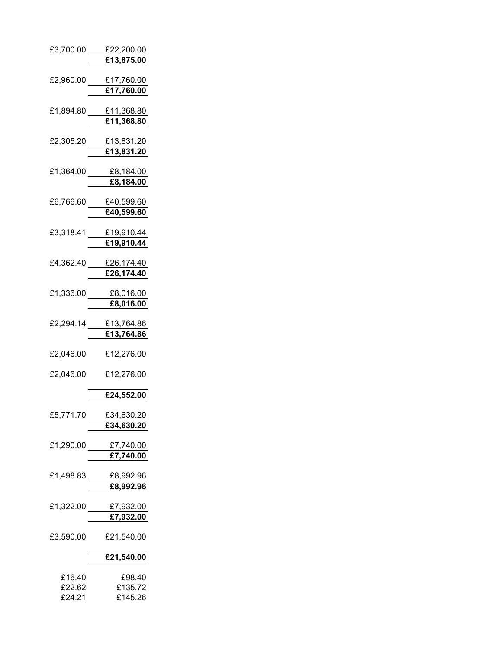| £3,700.00        | £22,200.00<br>£13,875.00             |
|------------------|--------------------------------------|
| £2,960.00        | £17,760.00<br>£17,760.00             |
| £1,894.80        | £11,368.80<br>£11,368.80             |
| £2,305.20        | £13,831.20<br>£13,831.20             |
| £1,364.00        | <u>£8,184.00</u><br>£8,184.00        |
| £6,766.60        | £40,599.60<br>£40,599.60             |
| £3,318.41        | £19,910.44<br>£19,910.44             |
| £4,362.40        | £26,174.40<br>$\overline{26,174.40}$ |
| £1,336.00        | £8,016.00<br>£8,016.00               |
| £2,294.14        | <u>£13,764.86</u><br>£13,764.86      |
| £2,046.00        | £12,276.00                           |
| £2,046.00        | £12,276.00                           |
|                  | £24,552.00                           |
| £5,771.70        | £34,630.20<br>£34,630.20             |
|                  | £1,290.00 £7,740.00<br>£7,740.00     |
| £1,498.83        | £8,992.96<br>£8,992.96               |
| £1,322.00        | £7,932.00<br>£7,932.00               |
| £3,590.00        | £21,540.00                           |
|                  | £21,540.00                           |
| £16.40<br>£22.62 | £98.40<br>£135.72                    |

£24.21 £145.26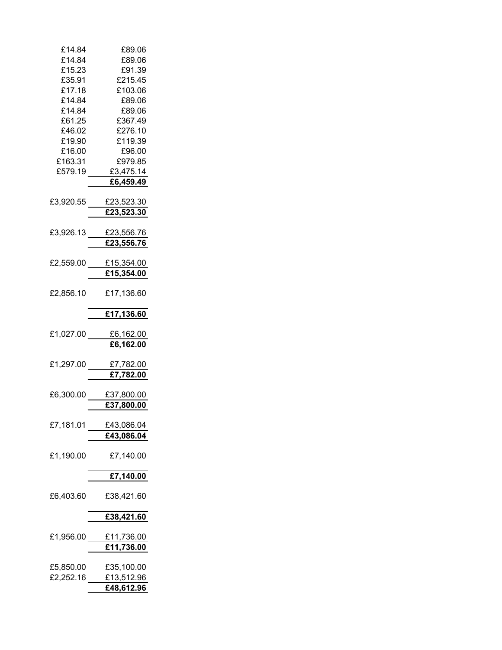| £14.84    | £89.06               |
|-----------|----------------------|
| £14.84    | £89.06               |
| £15.23    | £91.39               |
| £35.91    | £215.45              |
| £17.18    | £103.06              |
| £14.84    | £89.06               |
| £14.84    | £89.06               |
| £61.25    | £367.49              |
| £46.02    | £276.10              |
| £19.90    | £119.39              |
| £16.00    | £96.00               |
| £163.31   | £979.85              |
| £579.19   |                      |
|           | £3,475.14            |
|           | £6,459.49            |
|           |                      |
| £3,920.55 | £23,523.30           |
|           | £23,523.30           |
|           |                      |
| £3,926.13 | £23,556.76           |
|           | £23,556.76           |
|           |                      |
| £2,559.00 | £15,354.00           |
|           | £15,354.00           |
|           |                      |
| £2,856.10 | £17,136.60           |
|           | £17,136.60           |
|           |                      |
|           | £1,027.00 £6,162.00  |
|           | £6,162.00            |
|           |                      |
| £1,297.00 | £7,782.00            |
|           | £7,782.00            |
|           |                      |
| £6,300.00 |                      |
|           | £37,800.00           |
|           | £37,800.00           |
|           |                      |
| £7,181.01 | £43,086.04           |
|           | £43,086.04           |
| £1,190.00 | £7,140.00            |
|           |                      |
|           | £7,140.00            |
|           |                      |
| £6,403.60 | £38,421.60           |
|           | £38,421.60           |
|           |                      |
| £1,956.00 | £11,736.00           |
|           | $\frac{1}{1.736.00}$ |
|           |                      |
| £5,850.00 | £35,100.00           |
| £2,252.16 | £13,512.96           |
|           |                      |
|           | £48,612.96           |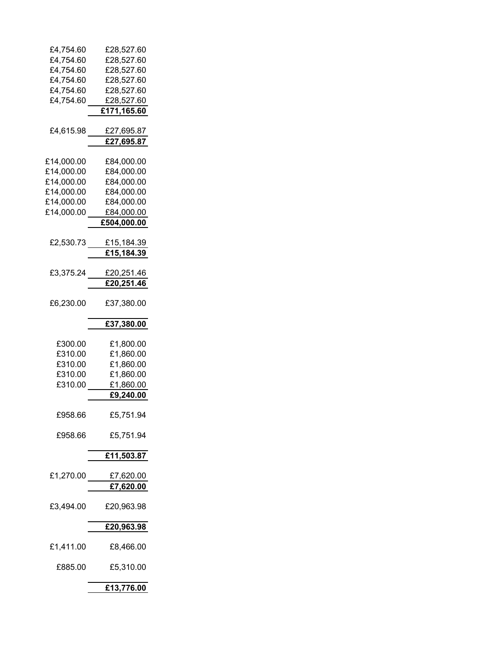| £4,754.60        | £28,527.60         |
|------------------|--------------------|
| £4,754.60        | £28,527.60         |
| £4,754.60        | £28,527.60         |
| £4,754.60        | £28,527.60         |
| £4,754.60        | £28,527.60         |
| £4,754.60        | £28,527.60         |
|                  | £171,165.60        |
|                  |                    |
| £4,615.98        | £27,695.87         |
|                  | <u>£27,695.87</u>  |
|                  |                    |
| £14,000.00       | £84,000.00         |
|                  |                    |
| £14,000.00       | £84,000.00         |
| £14,000.00       | £84,000.00         |
| £14,000.00       | £84,000.00         |
| £14,000.00       | £84,000.00         |
| £14,000.00       | £84,0 <u>00.00</u> |
|                  | £504,000.00        |
|                  |                    |
| £2,530.73        | <u>£15,184.39</u>  |
|                  | £15,184.39         |
|                  |                    |
| £3,375.24        | £20,251.46         |
|                  | £20,251.46         |
|                  |                    |
| £6,230.00        | £37,380.00         |
|                  |                    |
|                  | £37,380.00         |
|                  |                    |
| £300.00          | £1,800.00          |
| £310.00          | £1,860.00          |
| £310.00          | £1,860.00          |
| £310.00          | £1,860.00          |
| £310.00          |                    |
|                  | £1,860.00          |
|                  | <u>£9,240.00</u>   |
|                  |                    |
| £958.66          | £5,751.94          |
|                  |                    |
| £958.66          | £5,751.94          |
|                  |                    |
|                  | £11,503.87         |
|                  |                    |
| £1,270.00 $\_\_$ | £7,620.00          |
|                  | £7,620.00          |
|                  |                    |
| £3,494.00        | £20,963.98         |
|                  |                    |
|                  | £20,963.98         |
|                  |                    |
| £1,411.00        | £8,466.00          |
|                  |                    |
| £885.00          | £5,310.00          |
|                  |                    |
|                  |                    |
|                  | £13,776.00         |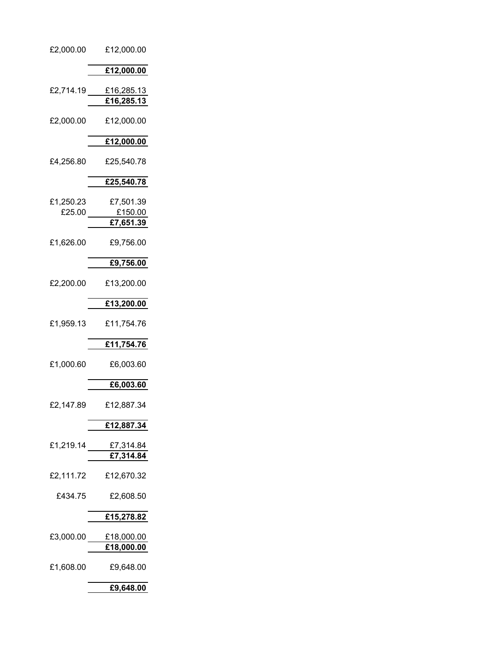| £2,000.00 | £12,000.00           |
|-----------|----------------------|
|           | £12,000.00           |
| £2,714.19 | £16,285.13           |
|           | £16,285.13           |
| £2,000.00 | £12,000.00           |
|           | £12,000.00           |
| £4,256.80 | £25,540.78           |
|           | £25,540.78           |
| £1,250.23 | £7,501.39            |
| £25.00    | £150.00<br>£7,651.39 |
| £1,626.00 | £9,756.00            |
|           | £9,756.00            |
| £2,200.00 | £13,200.00           |
|           | £13,200.00           |
| £1,959.13 | £11,754.76           |
|           | £11,754.76           |
| £1,000.60 | £6,003.60            |
|           | £6,003.60            |
| £2,147.89 | £12,887.34           |
|           | £12,887.34           |
| £1,219.14 | £7,314.84            |
|           | £7,314.84            |
| £2,111.72 | £12,670.32           |
| £434.75   | £2,608.50            |
|           | £15,278.82           |
| £3,000.00 | £18,000.00           |
|           | £18,000.00           |
| £1,608.00 | £9,648.00            |
|           | £9,648.00            |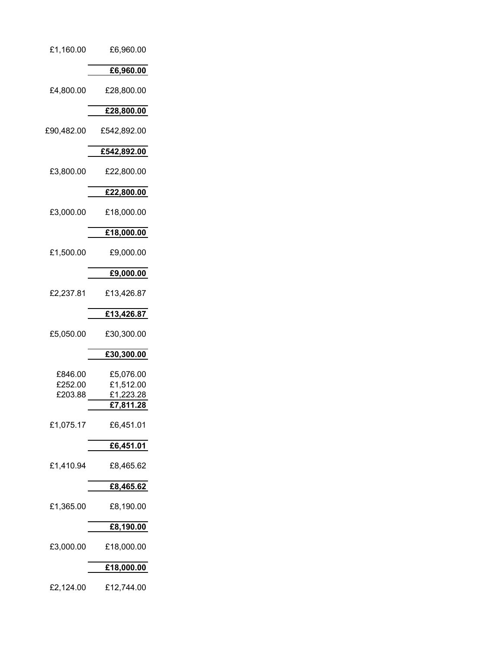#### £1,160.00 £6,960.00

### **£6,960.00**

£4,800.00 £28,800.00

## **£28,800.00**

£90,482.00 £542,892.00

# **£542,892.00**

£3,800.00 £22,800.00

## **£22,800.00**

£3,000.00 £18,000.00

#### **£18,000.00**

£1,500.00 £9,000.00

### **£9,000.00**

£2,237.81 £13,426.87

### **£13,426.87**

£5,050.00 £30,300.00

## **£30,300.00**

| £846.00<br>£252.00 | £5.076.00<br>£1,512.00 |
|--------------------|------------------------|
| £203.88            | £1,223.28              |
|                    | £7,811.28              |
| £1,075.17          | £6,451.01              |
|                    | £6,451.01              |
| £1,410.94          | £8,465.62              |

#### **£8,465.62**

£1,365.00 £8,190.00

#### **£8,190.00**

£3,000.00 £18,000.00

#### **£18,000.00**

£2,124.00 £12,744.00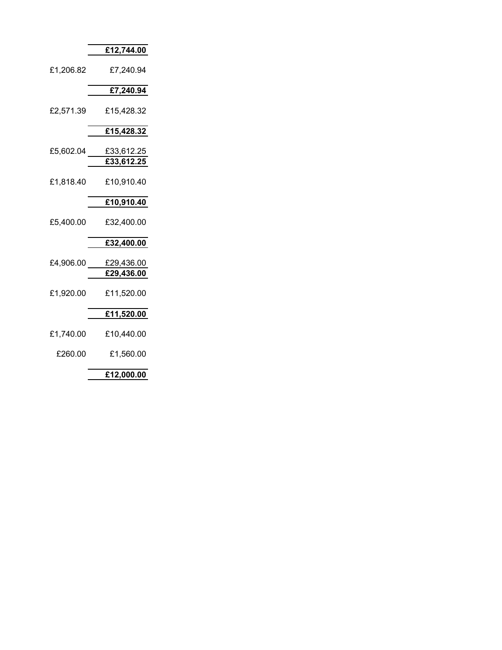#### **£12,744.00**

£1,206.82 £7,240.94

## **£7,240.94**

£2,571.39 £15,428.32

## **£15,428.32**

| £5,602.04 | £33,612.25 |
|-----------|------------|
|           | £33,612.25 |

£1,818.40 £10,910.40

### **£10,910.40**

£5,400.00 £32,400.00

## **£32,400.00**

- £4,906.00 £29,436.00 **£29,436.00**
- £1,920.00 £11,520.00

# **£11,520.00**

- £1,740.00 £10,440.00
- £260.00 £1,560.00

**£12,000.00**